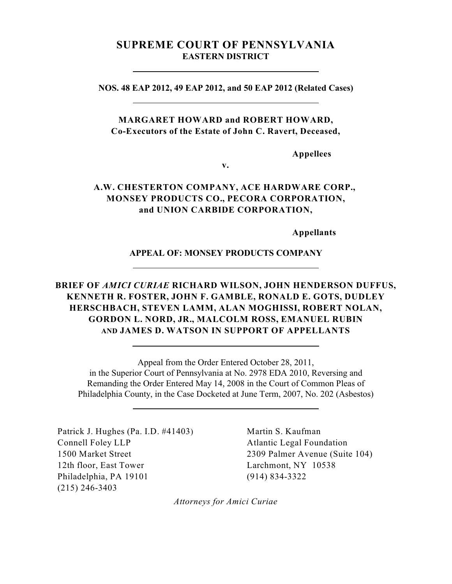# **SUPREME COURT OF PENNSYLVANIA EASTERN DISTRICT**

**NOS. 48 EAP 2012, 49 EAP 2012, and 50 EAP 2012 (Related Cases)**

## **MARGARET HOWARD and ROBERT HOWARD, Co-Executors of the Estate of John C. Ravert, Deceased,**

**Appellees**

# **A.W. CHESTERTON COMPANY, ACE HARDWARE CORP., MONSEY PRODUCTS CO., PECORA CORPORATION, and UNION CARBIDE CORPORATION,**

**v.**

**Appellants**

## **APPEAL OF: MONSEY PRODUCTS COMPANY**

# **BRIEF OF** *AMICI CURIAE* **RICHARD WILSON, JOHN HENDERSON DUFFUS, KENNETH R. FOSTER, JOHN F. GAMBLE, RONALD E. GOTS, DUDLEY HERSCHBACH, STEVEN LAMM, ALAN MOGHISSI, ROBERT NOLAN, GORDON L. NORD, JR., MALCOLM ROSS, EMANUEL RUBIN AND JAMES D. WATSON IN SUPPORT OF APPELLANTS**

Appeal from the Order Entered October 28, 2011, in the Superior Court of Pennsylvania at No. 2978 EDA 2010, Reversing and Remanding the Order Entered May 14, 2008 in the Court of Common Pleas of Philadelphia County, in the Case Docketed at June Term, 2007, No. 202 (Asbestos)

Patrick J. Hughes (Pa. I.D. #41403) Connell Foley LLP 1500 Market Street 12th floor, East Tower Philadelphia, PA 19101 (215) 246-3403

 $\overline{a}$ 

Martin S. Kaufman Atlantic Legal Foundation 2309 Palmer Avenue (Suite 104) Larchmont, NY 10538 (914) 834-3322

*Attorneys for Amici Curiae*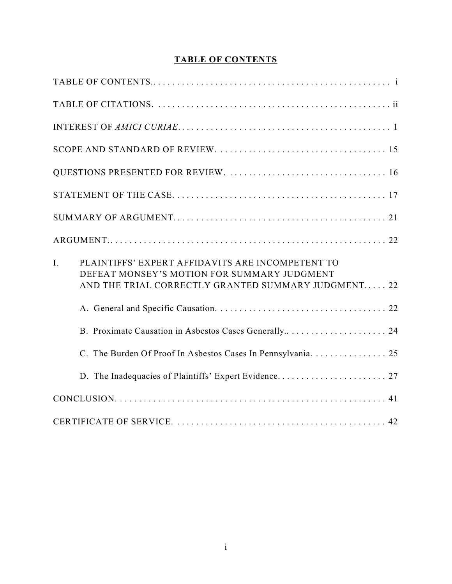# **TABLE OF CONTENTS**

| PLAINTIFFS' EXPERT AFFIDAVITS ARE INCOMPETENT TO<br>I.<br>DEFEAT MONSEY'S MOTION FOR SUMMARY JUDGMENT<br>AND THE TRIAL CORRECTLY GRANTED SUMMARY JUDGMENT 22 |
|--------------------------------------------------------------------------------------------------------------------------------------------------------------|
|                                                                                                                                                              |
|                                                                                                                                                              |
| C. The Burden Of Proof In Asbestos Cases In Pennsylvania. 25                                                                                                 |
|                                                                                                                                                              |
|                                                                                                                                                              |
|                                                                                                                                                              |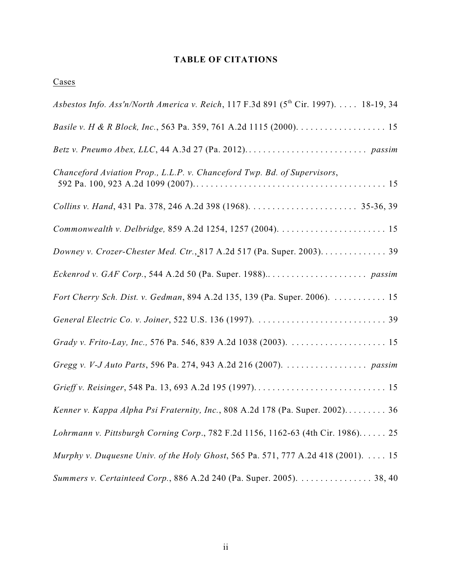## **TABLE OF CITATIONS**

**Cases** 

| Asbestos Info. Ass'n/North America v. Reich, 117 F.3d 891 (5 <sup>th</sup> Cir. 1997). 18-19, 34 |
|--------------------------------------------------------------------------------------------------|
|                                                                                                  |
|                                                                                                  |
| Chanceford Aviation Prop., L.L.P. v. Chanceford Twp. Bd. of Supervisors,                         |
|                                                                                                  |
|                                                                                                  |
| Downey v. Crozer-Chester Med. Ctr., 817 A.2d 517 (Pa. Super. 2003). 39                           |
|                                                                                                  |
| Fort Cherry Sch. Dist. v. Gedman, 894 A.2d 135, 139 (Pa. Super. 2006). 15                        |
|                                                                                                  |
|                                                                                                  |
|                                                                                                  |
|                                                                                                  |
| Kenner v. Kappa Alpha Psi Fraternity, Inc., 808 A.2d 178 (Pa. Super. 2002) 36                    |
| Lohrmann v. Pittsburgh Corning Corp., 782 F.2d 1156, 1162-63 (4th Cir. 1986) 25                  |
| Murphy v. Duquesne Univ. of the Holy Ghost, 565 Pa. 571, 777 A.2d 418 (2001). $\dots$ 15         |
| Summers v. Certainteed Corp., 886 A.2d 240 (Pa. Super. 2005). 38, 40                             |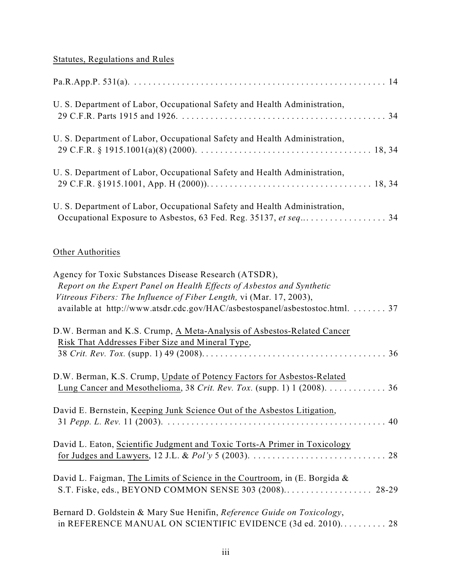# Statutes, Regulations and Rules

| U. S. Department of Labor, Occupational Safety and Health Administration, |
|---------------------------------------------------------------------------|
| U. S. Department of Labor, Occupational Safety and Health Administration, |
| U. S. Department of Labor, Occupational Safety and Health Administration, |
| U. S. Department of Labor, Occupational Safety and Health Administration, |

# **Other Authorities**

| Agency for Toxic Substances Disease Research (ATSDR),<br>Report on the Expert Panel on Health Effects of Asbestos and Synthetic<br>Vitreous Fibers: The Influence of Fiber Length, vi (Mar. 17, 2003),<br>available at http://www.atsdr.cdc.gov/HAC/asbestospanel/asbestostoc.html.  37 |
|-----------------------------------------------------------------------------------------------------------------------------------------------------------------------------------------------------------------------------------------------------------------------------------------|
| D.W. Berman and K.S. Crump, A Meta-Analysis of Asbestos-Related Cancer<br>Risk That Addresses Fiber Size and Mineral Type,                                                                                                                                                              |
| D.W. Berman, K.S. Crump, Update of Potency Factors for Asbestos-Related<br>Lung Cancer and Mesothelioma, 38 Crit. Rev. Tox. (supp. 1) 1 (2008). 36                                                                                                                                      |
| David E. Bernstein, Keeping Junk Science Out of the Asbestos Litigation,                                                                                                                                                                                                                |
| David L. Eaton, Scientific Judgment and Toxic Torts-A Primer in Toxicology                                                                                                                                                                                                              |
| David L. Faigman, The Limits of Science in the Courtroom, in (E. Borgida &<br>S.T. Fiske, eds., BEYOND COMMON SENSE 303 (2008) 28-29                                                                                                                                                    |
| Bernard D. Goldstein & Mary Sue Henifin, Reference Guide on Toxicology,<br>in REFERENCE MANUAL ON SCIENTIFIC EVIDENCE (3d ed. 2010) 28                                                                                                                                                  |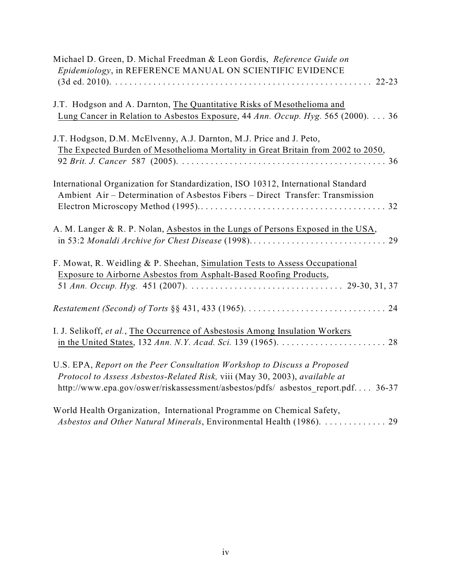| Michael D. Green, D. Michal Freedman & Leon Gordis, Reference Guide on<br>Epidemiology, in REFERENCE MANUAL ON SCIENTIFIC EVIDENCE                                                                                                          |
|---------------------------------------------------------------------------------------------------------------------------------------------------------------------------------------------------------------------------------------------|
|                                                                                                                                                                                                                                             |
| J.T. Hodgson and A. Darnton, The Quantitative Risks of Mesothelioma and<br>Lung Cancer in Relation to Asbestos Exposure, 44 Ann. Occup. Hyg. 565 (2000). 36                                                                                 |
| J.T. Hodgson, D.M. McElvenny, A.J. Darnton, M.J. Price and J. Peto,                                                                                                                                                                         |
| The Expected Burden of Mesothelioma Mortality in Great Britain from 2002 to 2050,                                                                                                                                                           |
| International Organization for Standardization, ISO 10312, International Standard                                                                                                                                                           |
| Ambient Air – Determination of Asbestos Fibers – Direct Transfer: Transmission                                                                                                                                                              |
| A. M. Langer & R. P. Nolan, Asbestos in the Lungs of Persons Exposed in the USA,                                                                                                                                                            |
| F. Mowat, R. Weidling & P. Sheehan, Simulation Tests to Assess Occupational                                                                                                                                                                 |
| Exposure to Airborne Asbestos from Asphalt-Based Roofing Products,                                                                                                                                                                          |
|                                                                                                                                                                                                                                             |
| I. J. Selikoff, et al., The Occurrence of Asbestosis Among Insulation Workers                                                                                                                                                               |
| U.S. EPA, Report on the Peer Consultation Workshop to Discuss a Proposed<br>Protocol to Assess Asbestos-Related Risk, viii (May 30, 2003), available at<br>http://www.epa.gov/oswer/riskassessment/asbestos/pdfs/ asbestos report.pdf 36-37 |
| World Health Organization, International Programme on Chemical Safety,<br>Asbestos and Other Natural Minerals, Environmental Health (1986).  29                                                                                             |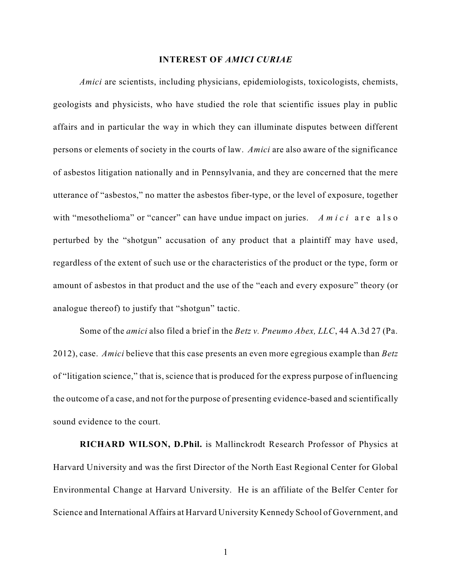#### **INTEREST OF** *AMICI CURIAE*

*Amici* are scientists, including physicians, epidemiologists, toxicologists, chemists, geologists and physicists, who have studied the role that scientific issues play in public affairs and in particular the way in which they can illuminate disputes between different persons or elements of society in the courts of law. *Amici* are also aware of the significance of asbestos litigation nationally and in Pennsylvania, and they are concerned that the mere utterance of "asbestos," no matter the asbestos fiber-type, or the level of exposure, together with "mesothelioma" or "cancer" can have undue impact on juries. *A m i c i* a r e a l s o perturbed by the "shotgun" accusation of any product that a plaintiff may have used, regardless of the extent of such use or the characteristics of the product or the type, form or amount of asbestos in that product and the use of the "each and every exposure" theory (or analogue thereof) to justify that "shotgun" tactic.

Some of the *amici* also filed a brief in the *Betz v. Pneumo Abex, LLC*, 44 A.3d 27 (Pa. 2012), case. *Amici* believe that this case presents an even more egregious example than *Betz* of "litigation science," that is, science that is produced for the express purpose of influencing the outcome of a case, and not for the purpose of presenting evidence-based and scientifically sound evidence to the court.

**RICHARD WILSON, D.Phil.** is Mallinckrodt Research Professor of Physics at Harvard University and was the first Director of the North East Regional Center for Global Environmental Change at Harvard University. He is an affiliate of the Belfer Center for Science and International Affairs at Harvard University Kennedy School of Government, and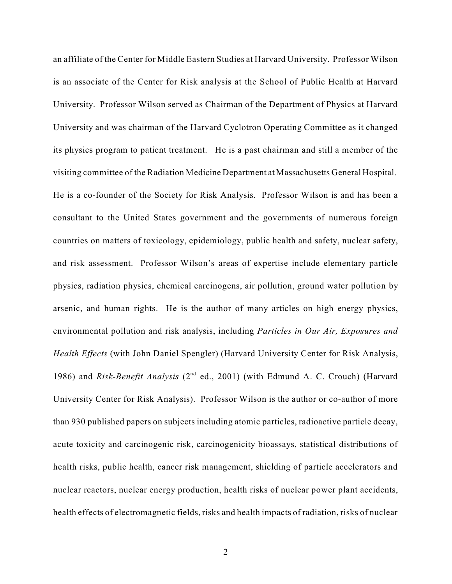an affiliate of the Center for Middle Eastern Studies at Harvard University. Professor Wilson is an associate of the Center for Risk analysis at the School of Public Health at Harvard University. Professor Wilson served as Chairman of the Department of Physics at Harvard University and was chairman of the Harvard Cyclotron Operating Committee as it changed its physics program to patient treatment. He is a past chairman and still a member of the visiting committee of the Radiation Medicine Department at Massachusetts General Hospital. He is a co-founder of the Society for Risk Analysis. Professor Wilson is and has been a consultant to the United States government and the governments of numerous foreign countries on matters of toxicology, epidemiology, public health and safety, nuclear safety, and risk assessment. Professor Wilson's areas of expertise include elementary particle physics, radiation physics, chemical carcinogens, air pollution, ground water pollution by arsenic, and human rights. He is the author of many articles on high energy physics, environmental pollution and risk analysis, including *Particles in Our Air, Exposures and Health Effects* (with John Daniel Spengler) (Harvard University Center for Risk Analysis, 1986) and *Risk-Benefit Analysis* (2<sup>nd</sup> ed., 2001) (with Edmund A. C. Crouch) (Harvard University Center for Risk Analysis). Professor Wilson is the author or co-author of more than 930 published papers on subjects including atomic particles, radioactive particle decay, acute toxicity and carcinogenic risk, carcinogenicity bioassays, statistical distributions of health risks, public health, cancer risk management, shielding of particle accelerators and nuclear reactors, nuclear energy production, health risks of nuclear power plant accidents, health effects of electromagnetic fields, risks and health impacts of radiation, risks of nuclear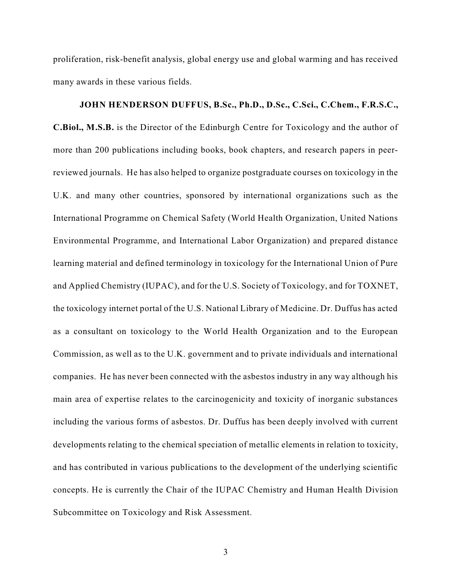proliferation, risk-benefit analysis, global energy use and global warming and has received many awards in these various fields.

**JOHN HENDERSON DUFFUS, B.Sc., Ph.D., D.Sc., C.Sci., C.Chem., F.R.S.C., C.Biol., M.S.B.** is the Director of the Edinburgh Centre for Toxicology and the author of more than 200 publications including books, book chapters, and research papers in peerreviewed journals. He has also helped to organize postgraduate courses on toxicology in the U.K. and many other countries, sponsored by international organizations such as the International Programme on Chemical Safety (World Health Organization, United Nations Environmental Programme, and International Labor Organization) and prepared distance learning material and defined terminology in toxicology for the International Union of Pure and Applied Chemistry (IUPAC), and for the U.S. Society of Toxicology, and for TOXNET, the toxicology internet portal of the U.S. National Library of Medicine. Dr. Duffus has acted as a consultant on toxicology to the World Health Organization and to the European Commission, as well as to the U.K. government and to private individuals and international companies. He has never been connected with the asbestos industry in any way although his main area of expertise relates to the carcinogenicity and toxicity of inorganic substances including the various forms of asbestos. Dr. Duffus has been deeply involved with current developments relating to the chemical speciation of metallic elements in relation to toxicity, and has contributed in various publications to the development of the underlying scientific concepts. He is currently the Chair of the IUPAC Chemistry and Human Health Division Subcommittee on Toxicology and Risk Assessment.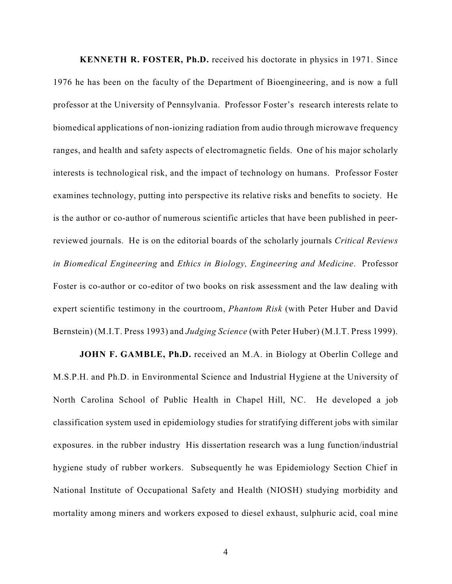**KENNETH R. FOSTER, Ph.D.** received his doctorate in physics in 1971. Since 1976 he has been on the faculty of the Department of Bioengineering, and is now a full professor at the University of Pennsylvania. Professor Foster's research interests relate to biomedical applications of non-ionizing radiation from audio through microwave frequency ranges, and health and safety aspects of electromagnetic fields. One of his major scholarly interests is technological risk, and the impact of technology on humans. Professor Foster examines technology, putting into perspective its relative risks and benefits to society. He is the author or co-author of numerous scientific articles that have been published in peerreviewed journals. He is on the editorial boards of the scholarly journals *Critical Reviews in Biomedical Engineering* and *Ethics in Biology, Engineering and Medicine*. Professor Foster is co-author or co-editor of two books on risk assessment and the law dealing with expert scientific testimony in the courtroom, *Phantom Risk* (with Peter Huber and David Bernstein) (M.I.T. Press 1993) and *Judging Science* (with Peter Huber) (M.I.T. Press 1999).

**JOHN F. GAMBLE, Ph.D.** received an M.A. in Biology at Oberlin College and M.S.P.H. and Ph.D. in Environmental Science and Industrial Hygiene at the University of North Carolina School of Public Health in Chapel Hill, NC. He developed a job classification system used in epidemiology studies for stratifying different jobs with similar exposures. in the rubber industry His dissertation research was a lung function/industrial hygiene study of rubber workers. Subsequently he was Epidemiology Section Chief in National Institute of Occupational Safety and Health (NIOSH) studying morbidity and mortality among miners and workers exposed to diesel exhaust, sulphuric acid, coal mine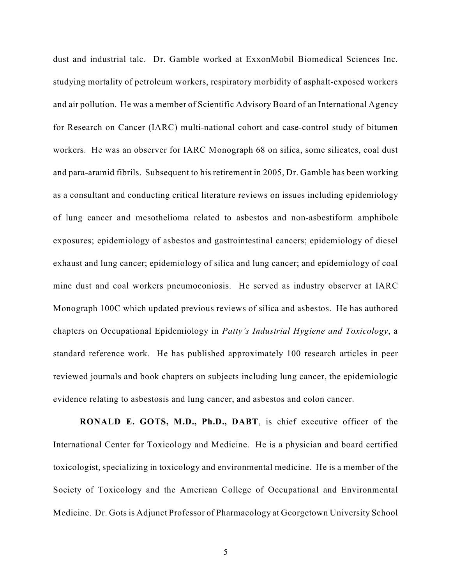dust and industrial talc. Dr. Gamble worked at ExxonMobil Biomedical Sciences Inc. studying mortality of petroleum workers, respiratory morbidity of asphalt-exposed workers and air pollution. He was a member of Scientific Advisory Board of an International Agency for Research on Cancer (IARC) multi-national cohort and case-control study of bitumen workers. He was an observer for IARC Monograph 68 on silica, some silicates, coal dust and para-aramid fibrils. Subsequent to his retirement in 2005, Dr. Gamble has been working as a consultant and conducting critical literature reviews on issues including epidemiology of lung cancer and mesothelioma related to asbestos and non-asbestiform amphibole exposures; epidemiology of asbestos and gastrointestinal cancers; epidemiology of diesel exhaust and lung cancer; epidemiology of silica and lung cancer; and epidemiology of coal mine dust and coal workers pneumoconiosis. He served as industry observer at IARC Monograph 100C which updated previous reviews of silica and asbestos. He has authored chapters on Occupational Epidemiology in *Patty's Industrial Hygiene and Toxicology*, a standard reference work. He has published approximately 100 research articles in peer reviewed journals and book chapters on subjects including lung cancer, the epidemiologic evidence relating to asbestosis and lung cancer, and asbestos and colon cancer.

**RONALD E. GOTS, M.D., Ph.D., DABT**, is chief executive officer of the International Center for Toxicology and Medicine. He is a physician and board certified toxicologist, specializing in toxicology and environmental medicine. He is a member of the Society of Toxicology and the American College of Occupational and Environmental Medicine. Dr. Gots is Adjunct Professor of Pharmacology at Georgetown University School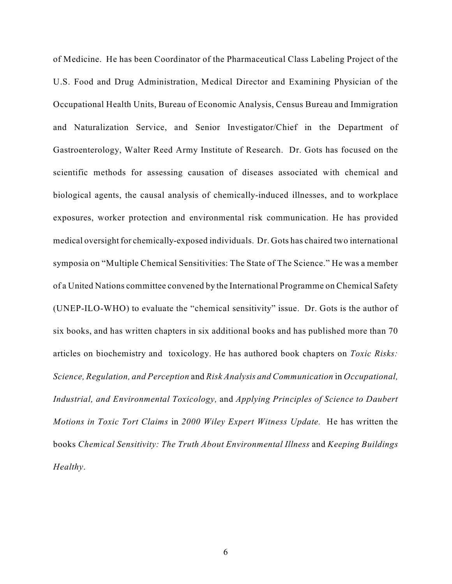of Medicine. He has been Coordinator of the Pharmaceutical Class Labeling Project of the U.S. Food and Drug Administration, Medical Director and Examining Physician of the Occupational Health Units, Bureau of Economic Analysis, Census Bureau and Immigration and Naturalization Service, and Senior Investigator/Chief in the Department of Gastroenterology, Walter Reed Army Institute of Research. Dr. Gots has focused on the scientific methods for assessing causation of diseases associated with chemical and biological agents, the causal analysis of chemically-induced illnesses, and to workplace exposures, worker protection and environmental risk communication. He has provided medical oversight for chemically-exposed individuals. Dr. Gots has chaired two international symposia on "Multiple Chemical Sensitivities: The State of The Science." He was a member of a United Nations committee convened by the International Programme on Chemical Safety (UNEP-ILO-WHO) to evaluate the "chemical sensitivity" issue. Dr. Gots is the author of six books, and has written chapters in six additional books and has published more than 70 articles on biochemistry and toxicology. He has authored book chapters on *Toxic Risks: Science, Regulation, and Perception* and *Risk Analysis and Communication* in *Occupational, Industrial, and Environmental Toxicology,* and *Applying Principles of Science to Daubert Motions in Toxic Tort Claims* in *2000 Wiley Expert Witness Update.* He has written the books *Chemical Sensitivity: The Truth About Environmental Illness* and *Keeping Buildings Healthy*.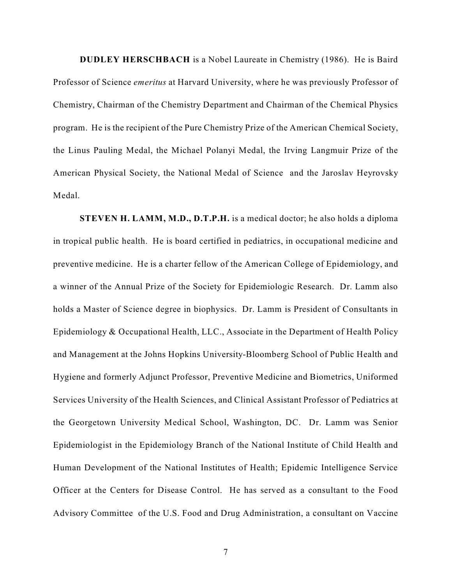**DUDLEY HERSCHBACH** is a Nobel Laureate in Chemistry (1986). He is Baird Professor of Science *emeritus* at Harvard University, where he was previously Professor of Chemistry, Chairman of the Chemistry Department and Chairman of the Chemical Physics program. He is the recipient of the Pure Chemistry Prize of the American Chemical Society, the Linus Pauling Medal, the Michael Polanyi Medal, the Irving Langmuir Prize of the American Physical Society, the National Medal of Science and the Jaroslav Heyrovsky Medal.

**STEVEN H. LAMM, M.D., D.T.P.H.** is a medical doctor; he also holds a diploma in tropical public health. He is board certified in pediatrics, in occupational medicine and preventive medicine. He is a charter fellow of the American College of Epidemiology, and a winner of the Annual Prize of the Society for Epidemiologic Research. Dr. Lamm also holds a Master of Science degree in biophysics. Dr. Lamm is President of Consultants in Epidemiology & Occupational Health, LLC., Associate in the Department of Health Policy and Management at the Johns Hopkins University-Bloomberg School of Public Health and Hygiene and formerly Adjunct Professor, Preventive Medicine and Biometrics, Uniformed Services University of the Health Sciences, and Clinical Assistant Professor of Pediatrics at the Georgetown University Medical School, Washington, DC. Dr. Lamm was Senior Epidemiologist in the Epidemiology Branch of the National Institute of Child Health and Human Development of the National Institutes of Health; Epidemic Intelligence Service Officer at the Centers for Disease Control. He has served as a consultant to the Food Advisory Committee of the U.S. Food and Drug Administration, a consultant on Vaccine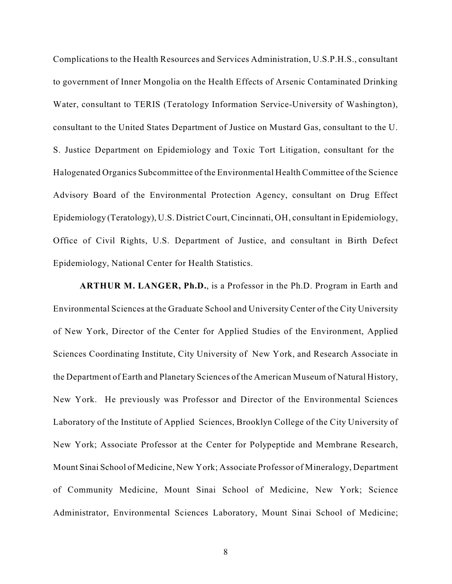Complications to the Health Resources and Services Administration, U.S.P.H.S., consultant to government of Inner Mongolia on the Health Effects of Arsenic Contaminated Drinking Water, consultant to TERIS (Teratology Information Service-University of Washington), consultant to the United States Department of Justice on Mustard Gas, consultant to the U. S. Justice Department on Epidemiology and Toxic Tort Litigation, consultant for the Halogenated Organics Subcommittee of the Environmental Health Committee of the Science Advisory Board of the Environmental Protection Agency, consultant on Drug Effect Epidemiology (Teratology), U.S. District Court, Cincinnati, OH, consultant in Epidemiology, Office of Civil Rights, U.S. Department of Justice, and consultant in Birth Defect Epidemiology, National Center for Health Statistics.

**ARTHUR M. LANGER, Ph.D.**, is a Professor in the Ph.D. Program in Earth and Environmental Sciences at the Graduate School and University Center of the City University of New York, Director of the Center for Applied Studies of the Environment, Applied Sciences Coordinating Institute, City University of New York, and Research Associate in the Department of Earth and Planetary Sciences of the American Museum of Natural History, New York. He previously was Professor and Director of the Environmental Sciences Laboratory of the Institute of Applied Sciences, Brooklyn College of the City University of New York; Associate Professor at the Center for Polypeptide and Membrane Research, Mount Sinai School of Medicine, New York; Associate Professor of Mineralogy, Department of Community Medicine, Mount Sinai School of Medicine, New York; Science Administrator, Environmental Sciences Laboratory, Mount Sinai School of Medicine;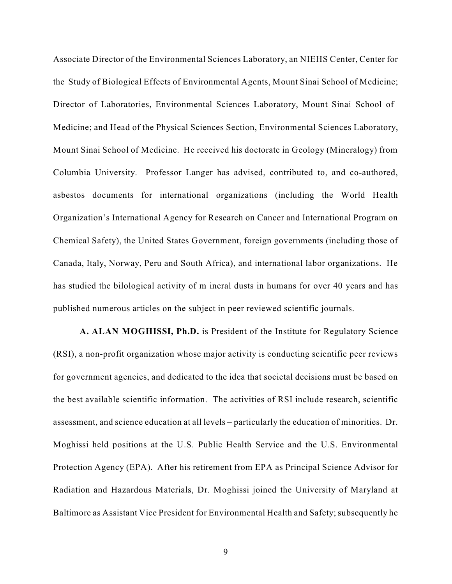Associate Director of the Environmental Sciences Laboratory, an NIEHS Center, Center for the Study of Biological Effects of Environmental Agents, Mount Sinai School of Medicine; Director of Laboratories, Environmental Sciences Laboratory, Mount Sinai School of Medicine; and Head of the Physical Sciences Section, Environmental Sciences Laboratory, Mount Sinai School of Medicine. He received his doctorate in Geology (Mineralogy) from Columbia University. Professor Langer has advised, contributed to, and co-authored, asbestos documents for international organizations (including the World Health Organization's International Agency for Research on Cancer and International Program on Chemical Safety), the United States Government, foreign governments (including those of Canada, Italy, Norway, Peru and South Africa), and international labor organizations. He has studied the bilological activity of m ineral dusts in humans for over 40 years and has published numerous articles on the subject in peer reviewed scientific journals.

**A. ALAN MOGHISSI, Ph.D.** is President of the Institute for Regulatory Science (RSI), a non-profit organization whose major activity is conducting scientific peer reviews for government agencies, and dedicated to the idea that societal decisions must be based on the best available scientific information. The activities of RSI include research, scientific assessment, and science education at all levels – particularly the education of minorities. Dr. Moghissi held positions at the U.S. Public Health Service and the U.S. Environmental Protection Agency (EPA). After his retirement from EPA as Principal Science Advisor for Radiation and Hazardous Materials, Dr. Moghissi joined the University of Maryland at Baltimore as Assistant Vice President for Environmental Health and Safety; subsequently he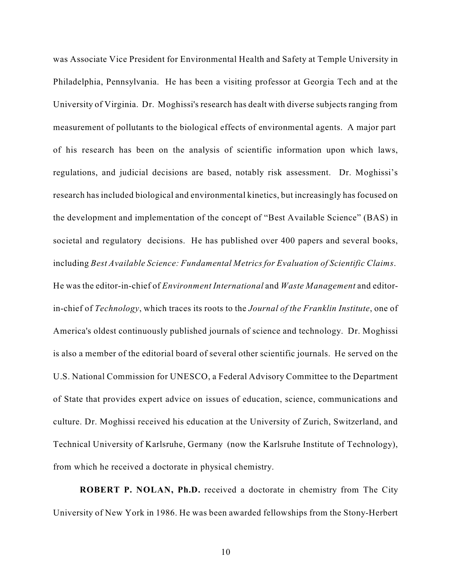was Associate Vice President for Environmental Health and Safety at Temple University in Philadelphia, Pennsylvania. He has been a visiting professor at Georgia Tech and at the University of Virginia. Dr. Moghissi's research has dealt with diverse subjects ranging from measurement of pollutants to the biological effects of environmental agents. A major part of his research has been on the analysis of scientific information upon which laws, regulations, and judicial decisions are based, notably risk assessment. Dr. Moghissi's research has included biological and environmental kinetics, but increasingly has focused on the development and implementation of the concept of "Best Available Science" (BAS) in societal and regulatory decisions. He has published over 400 papers and several books, including *Best Available Science: Fundamental Metrics for Evaluation of Scientific Claims*. He was the editor-in-chief of *Environment International* and *Waste Management* and editorin-chief of *Technology*, which traces its roots to the *Journal of the Franklin Institute*, one of America's oldest continuously published journals of science and technology. Dr. Moghissi is also a member of the editorial board of several other scientific journals. He served on the U.S. National Commission for UNESCO, a Federal Advisory Committee to the Department of State that provides expert advice on issues of education, science, communications and culture. Dr. Moghissi received his education at the University of Zurich, Switzerland, and Technical University of Karlsruhe, Germany (now the Karlsruhe Institute of Technology), from which he received a doctorate in physical chemistry.

**ROBERT P. NOLAN, Ph.D.** received a doctorate in chemistry from The City University of New York in 1986. He was been awarded fellowships from the Stony-Herbert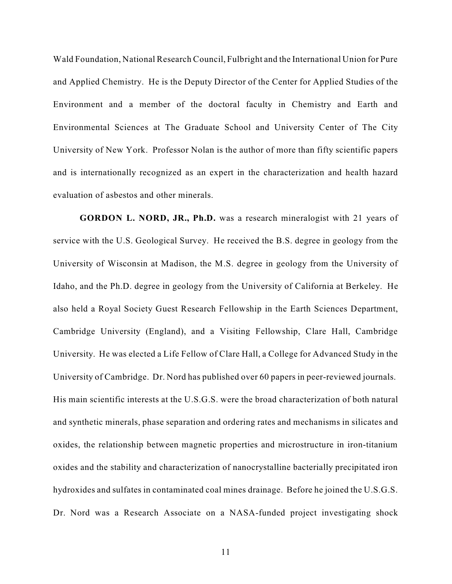Wald Foundation, National Research Council, Fulbright and the International Union for Pure and Applied Chemistry. He is the Deputy Director of the Center for Applied Studies of the Environment and a member of the doctoral faculty in Chemistry and Earth and Environmental Sciences at The Graduate School and University Center of The City University of New York. Professor Nolan is the author of more than fifty scientific papers and is internationally recognized as an expert in the characterization and health hazard evaluation of asbestos and other minerals.

**GORDON L. NORD, JR., Ph.D.** was a research mineralogist with 21 years of service with the U.S. Geological Survey. He received the B.S. degree in geology from the University of Wisconsin at Madison, the M.S. degree in geology from the University of Idaho, and the Ph.D. degree in geology from the University of California at Berkeley. He also held a Royal Society Guest Research Fellowship in the Earth Sciences Department, Cambridge University (England), and a Visiting Fellowship, Clare Hall, Cambridge University. He was elected a Life Fellow of Clare Hall, a College for Advanced Study in the University of Cambridge. Dr. Nord has published over 60 papers in peer-reviewed journals. His main scientific interests at the U.S.G.S. were the broad characterization of both natural and synthetic minerals, phase separation and ordering rates and mechanisms in silicates and oxides, the relationship between magnetic properties and microstructure in iron-titanium oxides and the stability and characterization of nanocrystalline bacterially precipitated iron hydroxides and sulfates in contaminated coal mines drainage. Before he joined the U.S.G.S. Dr. Nord was a Research Associate on a NASA-funded project investigating shock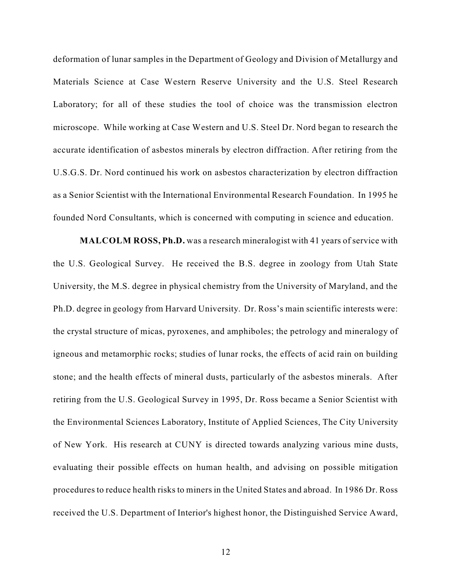deformation of lunar samples in the Department of Geology and Division of Metallurgy and Materials Science at Case Western Reserve University and the U.S. Steel Research Laboratory; for all of these studies the tool of choice was the transmission electron microscope. While working at Case Western and U.S. Steel Dr. Nord began to research the accurate identification of asbestos minerals by electron diffraction. After retiring from the U.S.G.S. Dr. Nord continued his work on asbestos characterization by electron diffraction as a Senior Scientist with the International Environmental Research Foundation. In 1995 he founded Nord Consultants, which is concerned with computing in science and education.

**MALCOLM ROSS, Ph.D.** was a research mineralogist with 41 years of service with the U.S. Geological Survey. He received the B.S. degree in zoology from Utah State University, the M.S. degree in physical chemistry from the University of Maryland, and the Ph.D. degree in geology from Harvard University. Dr. Ross's main scientific interests were: the crystal structure of micas, pyroxenes, and amphiboles; the petrology and mineralogy of igneous and metamorphic rocks; studies of lunar rocks, the effects of acid rain on building stone; and the health effects of mineral dusts, particularly of the asbestos minerals. After retiring from the U.S. Geological Survey in 1995, Dr. Ross became a Senior Scientist with the Environmental Sciences Laboratory, Institute of Applied Sciences, The City University of New York. His research at CUNY is directed towards analyzing various mine dusts, evaluating their possible effects on human health, and advising on possible mitigation procedures to reduce health risks to miners in the United States and abroad. In 1986 Dr. Ross received the U.S. Department of Interior's highest honor, the Distinguished Service Award,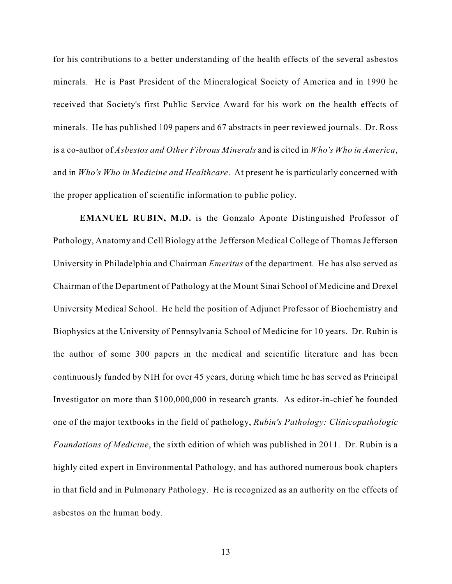for his contributions to a better understanding of the health effects of the several asbestos minerals. He is Past President of the Mineralogical Society of America and in 1990 he received that Society's first Public Service Award for his work on the health effects of minerals. He has published 109 papers and 67 abstracts in peer reviewed journals. Dr. Ross is a co-author of *Asbestos and Other Fibrous Minerals* and is cited in *Who's Who in America*, and in *Who's Who in Medicine and Healthcare*. At present he is particularly concerned with the proper application of scientific information to public policy.

**EMANUEL RUBIN, M.D.** is the Gonzalo Aponte Distinguished Professor of Pathology, Anatomy and Cell Biology at the Jefferson Medical College of Thomas Jefferson University in Philadelphia and Chairman *Emeritus* of the department. He has also served as Chairman of the Department of Pathology at the Mount Sinai School of Medicine and Drexel University Medical School. He held the position of Adjunct Professor of Biochemistry and Biophysics at the University of Pennsylvania School of Medicine for 10 years. Dr. Rubin is the author of some 300 papers in the medical and scientific literature and has been continuously funded by NIH for over 45 years, during which time he has served as Principal Investigator on more than \$100,000,000 in research grants. As editor-in-chief he founded one of the major textbooks in the field of pathology, *Rubin's Pathology: Clinicopathologic Foundations of Medicine*, the sixth edition of which was published in 2011. Dr. Rubin is a highly cited expert in Environmental Pathology, and has authored numerous book chapters in that field and in Pulmonary Pathology. He is recognized as an authority on the effects of asbestos on the human body.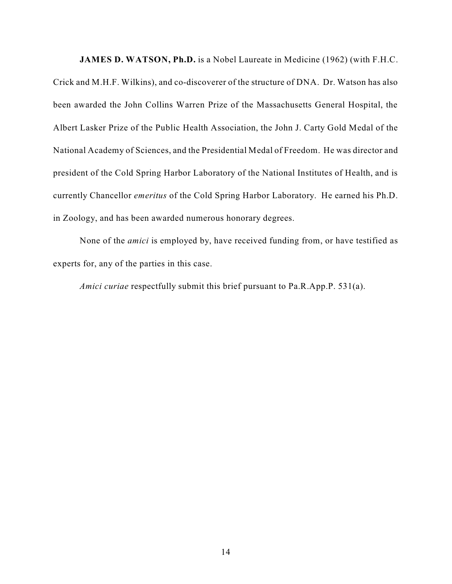**JAMES D. WATSON, Ph.D.** is a Nobel Laureate in Medicine (1962) (with F.H.C.

Crick and M.H.F. Wilkins), and co-discoverer of the structure of DNA. Dr. Watson has also been awarded the John Collins Warren Prize of the Massachusetts General Hospital, the Albert Lasker Prize of the Public Health Association, the John J. Carty Gold Medal of the National Academy of Sciences, and the Presidential Medal of Freedom. He was director and president of the Cold Spring Harbor Laboratory of the National Institutes of Health, and is currently Chancellor *emeritus* of the Cold Spring Harbor Laboratory. He earned his Ph.D. in Zoology, and has been awarded numerous honorary degrees.

None of the *amici* is employed by, have received funding from, or have testified as experts for, any of the parties in this case.

*Amici curiae* respectfully submit this brief pursuant to Pa.R.App.P. 531(a).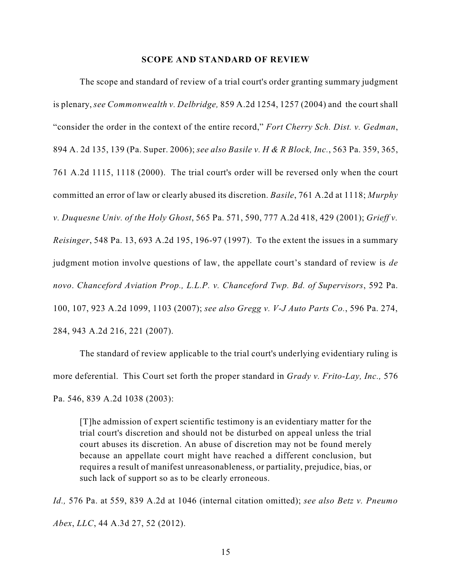#### **SCOPE AND STANDARD OF REVIEW**

The scope and standard of review of a trial court's order granting summary judgment is plenary, *see Commonwealth v. Delbridge,* 859 A.2d 1254, 1257 (2004) and the court shall "consider the order in the context of the entire record," *Fort Cherry Sch. Dist. v. Gedman*, 894 A. 2d 135, 139 (Pa. Super. 2006); *see also Basile v. H & R Block, Inc.*, 563 Pa. 359, 365, 761 A.2d 1115, 1118 (2000). The trial court's order will be reversed only when the court committed an error of law or clearly abused its discretion. *Basile*, 761 A.2d at 1118; *Murphy v. Duquesne Univ. of the Holy Ghost*, 565 Pa. 571, 590, 777 A.2d 418, 429 (2001); *Grieff v. Reisinger*, 548 Pa. 13, 693 A.2d 195, 196-97 (1997). To the extent the issues in a summary judgment motion involve questions of law, the appellate court's standard of review is *de novo*. *Chanceford Aviation Prop., L.L.P. v. Chanceford Twp. Bd. of Supervisors*, 592 Pa. 100, 107, 923 A.2d 1099, 1103 (2007); *see also Gregg v. V-J Auto Parts Co.*, 596 Pa. 274, 284, 943 A.2d 216, 221 (2007).

The standard of review applicable to the trial court's underlying evidentiary ruling is more deferential. This Court set forth the proper standard in *Grady v. Frito-Lay, Inc.,* 576 Pa. 546, 839 A.2d 1038 (2003):

[T]he admission of expert scientific testimony is an evidentiary matter for the trial court's discretion and should not be disturbed on appeal unless the trial court abuses its discretion. An abuse of discretion may not be found merely because an appellate court might have reached a different conclusion, but requires a result of manifest unreasonableness, or partiality, prejudice, bias, or such lack of support so as to be clearly erroneous.

*Id.,* 576 Pa. at 559, 839 A.2d at 1046 (internal citation omitted); *see also Betz v. Pneumo Abex*, *LLC*, 44 A.3d 27, 52 (2012).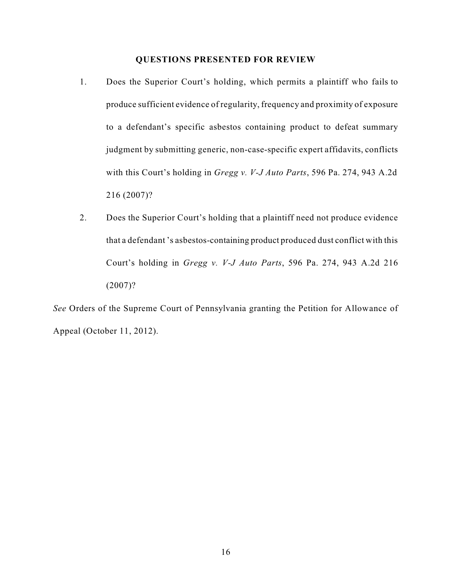## **QUESTIONS PRESENTED FOR REVIEW**

- 1. Does the Superior Court's holding, which permits a plaintiff who fails to produce sufficient evidence of regularity, frequency and proximity of exposure to a defendant's specific asbestos containing product to defeat summary judgment by submitting generic, non-case-specific expert affidavits, conflicts with this Court's holding in *Gregg v. V-J Auto Parts*, 596 Pa. 274, 943 A.2d 216 (2007)?
- 2. Does the Superior Court's holding that a plaintiff need not produce evidence that a defendant 's asbestos-containing product produced dust conflict with this Court's holding in *Gregg v. V-J Auto Parts*, 596 Pa. 274, 943 A.2d 216 (2007)?

*See* Orders of the Supreme Court of Pennsylvania granting the Petition for Allowance of Appeal (October 11, 2012).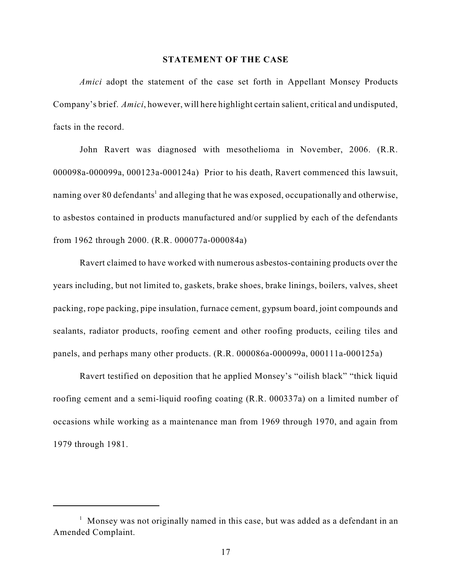#### **STATEMENT OF THE CASE**

*Amici* adopt the statement of the case set forth in Appellant Monsey Products Company's brief. *Amici*, however, will here highlight certain salient, critical and undisputed, facts in the record.

John Ravert was diagnosed with mesothelioma in November, 2006. (R.R. 000098a-000099a, 000123a-000124a) Prior to his death, Ravert commenced this lawsuit, naming over 80 defendants<sup>1</sup> and alleging that he was exposed, occupationally and otherwise, to asbestos contained in products manufactured and/or supplied by each of the defendants from 1962 through 2000. (R.R. 000077a-000084a)

Ravert claimed to have worked with numerous asbestos-containing products over the years including, but not limited to, gaskets, brake shoes, brake linings, boilers, valves, sheet packing, rope packing, pipe insulation, furnace cement, gypsum board, joint compounds and sealants, radiator products, roofing cement and other roofing products, ceiling tiles and panels, and perhaps many other products. (R.R. 000086a-000099a, 000111a-000125a)

Ravert testified on deposition that he applied Monsey's "oilish black" "thick liquid roofing cement and a semi-liquid roofing coating (R.R. 000337a) on a limited number of occasions while working as a maintenance man from 1969 through 1970, and again from 1979 through 1981.

 $<sup>1</sup>$  Monsey was not originally named in this case, but was added as a defendant in an</sup> Amended Complaint.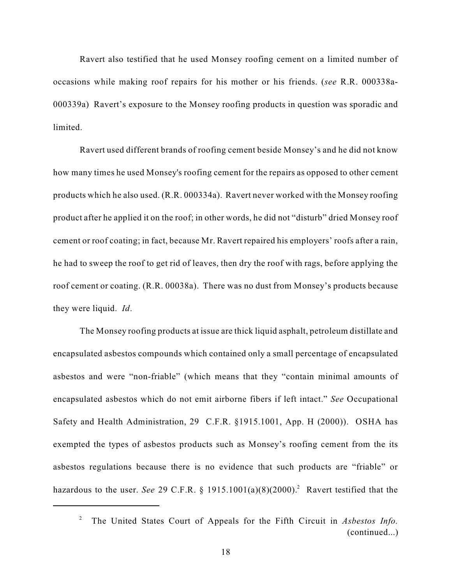Ravert also testified that he used Monsey roofing cement on a limited number of occasions while making roof repairs for his mother or his friends. (*see* R.R. 000338a-000339a) Ravert's exposure to the Monsey roofing products in question was sporadic and limited.

Ravert used different brands of roofing cement beside Monsey's and he did not know how many times he used Monsey's roofing cement for the repairs as opposed to other cement products which he also used. (R.R. 000334a). Ravert never worked with the Monsey roofing product after he applied it on the roof; in other words, he did not "disturb" dried Monsey roof cement or roof coating; in fact, because Mr. Ravert repaired his employers' roofs after a rain, he had to sweep the roof to get rid of leaves, then dry the roof with rags, before applying the roof cement or coating. (R.R. 00038a). There was no dust from Monsey's products because they were liquid. *Id*.

The Monsey roofing products at issue are thick liquid asphalt, petroleum distillate and encapsulated asbestos compounds which contained only a small percentage of encapsulated asbestos and were "non-friable" (which means that they "contain minimal amounts of encapsulated asbestos which do not emit airborne fibers if left intact." *See* Occupational Safety and Health Administration, 29 C.F.R. §1915.1001, App. H (2000)). OSHA has exempted the types of asbestos products such as Monsey's roofing cement from the its asbestos regulations because there is no evidence that such products are "friable" or hazardous to the user. *See* 29 C.F.R. § 1915.1001(a)(8)(2000).<sup>2</sup> Ravert testified that the

The United States Court of Appeals for the Fifth Circuit in *Asbestos Info.* <sup>2</sup> (continued...)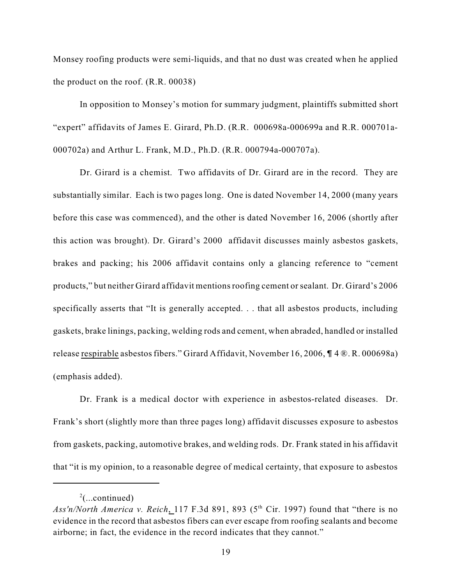Monsey roofing products were semi-liquids, and that no dust was created when he applied the product on the roof. (R.R. 00038)

In opposition to Monsey's motion for summary judgment, plaintiffs submitted short "expert" affidavits of James E. Girard, Ph.D. (R.R. 000698a-000699a and R.R. 000701a-000702a) and Arthur L. Frank, M.D., Ph.D. (R.R. 000794a-000707a).

Dr. Girard is a chemist. Two affidavits of Dr. Girard are in the record. They are substantially similar. Each is two pages long. One is dated November 14, 2000 (many years before this case was commenced), and the other is dated November 16, 2006 (shortly after this action was brought). Dr. Girard's 2000 affidavit discusses mainly asbestos gaskets, brakes and packing; his 2006 affidavit contains only a glancing reference to "cement products," but neither Girard affidavit mentionsroofing cement orsealant. Dr. Girard's 2006 specifically asserts that "It is generally accepted. . . that all asbestos products, including gaskets, brake linings, packing, welding rods and cement, when abraded, handled or installed release respirable asbestos fibers." Girard Affidavit, November 16, 2006,  $\P$  4  $\mathbb{R}$ . R. 000698a) (emphasis added).

Dr. Frank is a medical doctor with experience in asbestos-related diseases. Dr. Frank's short (slightly more than three pages long) affidavit discusses exposure to asbestos from gaskets, packing, automotive brakes, and welding rods. Dr. Frank stated in his affidavit that "it is my opinion, to a reasonable degree of medical certainty, that exposure to asbestos

 $^{2}$ (...continued)

Ass'n/North *America v. Reich*, 117 F.3d 891, 893 ( $5<sup>th</sup>$  Cir. 1997) found that "there is no evidence in the record that asbestos fibers can ever escape from roofing sealants and become airborne; in fact, the evidence in the record indicates that they cannot."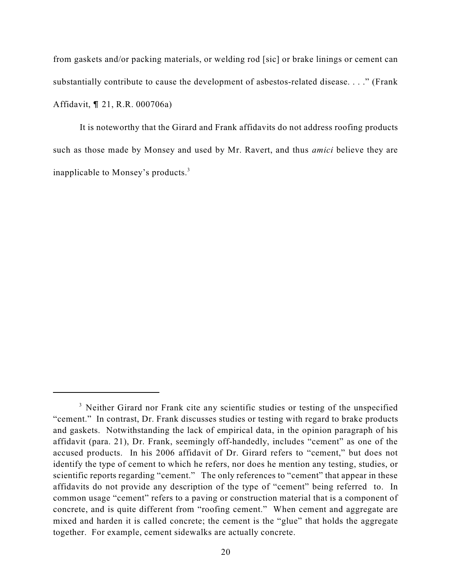from gaskets and/or packing materials, or welding rod [sic] or brake linings or cement can substantially contribute to cause the development of asbestos-related disease. . . ." (Frank Affidavit, ¶ 21, R.R. 000706a)

It is noteworthy that the Girard and Frank affidavits do not address roofing products such as those made by Monsey and used by Mr. Ravert, and thus *amici* believe they are inapplicable to Monsey's products.<sup>3</sup>

<sup>&</sup>lt;sup>3</sup> Neither Girard nor Frank cite any scientific studies or testing of the unspecified "cement." In contrast, Dr. Frank discusses studies or testing with regard to brake products and gaskets. Notwithstanding the lack of empirical data, in the opinion paragraph of his affidavit (para. 21), Dr. Frank, seemingly off-handedly, includes "cement" as one of the accused products. In his 2006 affidavit of Dr. Girard refers to "cement," but does not identify the type of cement to which he refers, nor does he mention any testing, studies, or scientific reports regarding "cement." The only references to "cement" that appear in these affidavits do not provide any description of the type of "cement" being referred to. In common usage "cement" refers to a paving or construction material that is a component of concrete, and is quite different from "roofing cement." When cement and aggregate are mixed and harden it is called concrete; the cement is the "glue" that holds the aggregate together. For example, cement sidewalks are actually concrete.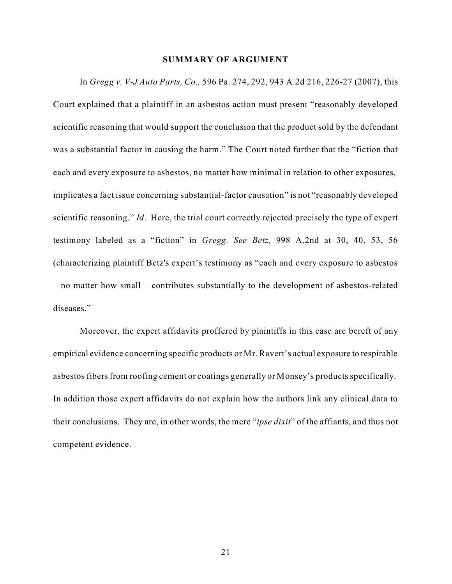## **SUMMARY OF ARGUMENT**

In *Gregg v. V-J Auto Parts, Co.,* 596 Pa. 274, 292, 943 A.2d 216, 226-27 (2007), this Court explained that a plaintiff in an asbestos action must present "reasonably developed scientific reasoning that would support the conclusion that the product sold by the defendant was a substantial factor in causing the harm." The Court noted further that the "fiction that each and every exposure to asbestos, no matter how minimal in relation to other exposures, implicates a fact issue concerning substantial-factor causation" is not "reasonably developed scientific reasoning." *Id*. Here, the trial court correctly rejected precisely the type of expert testimony labeled as a "fiction" in *Gregg. See Betz,* 998 A.2nd at 30, 40, 53, 56 (characterizing plaintiff Betz's expert's testimony as "each and every exposure to asbestos – no matter how small – contributes substantially to the development of asbestos-related diseases."

Moreover, the expert affidavits proffered by plaintiffs in this case are bereft of any empirical evidence concerning specific products or Mr. Ravert's actual exposure to respirable asbestos fibers from roofing cement or coatings generally or Monsey's products specifically. In addition those expert affidavits do not explain how the authors link any clinical data to their conclusions. They are, in other words, the mere "*ipse dixit*" of the affiants, and thus not competent evidence.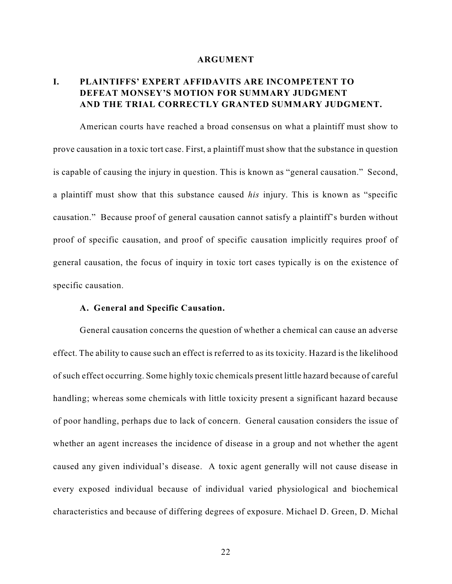#### **ARGUMENT**

# **I. PLAINTIFFS' EXPERT AFFIDAVITS ARE INCOMPETENT TO DEFEAT MONSEY'S MOTION FOR SUMMARY JUDGMENT AND THE TRIAL CORRECTLY GRANTED SUMMARY JUDGMENT.**

American courts have reached a broad consensus on what a plaintiff must show to prove causation in a toxic tort case. First, a plaintiff must show that the substance in question is capable of causing the injury in question. This is known as "general causation." Second, a plaintiff must show that this substance caused *his* injury. This is known as "specific causation." Because proof of general causation cannot satisfy a plaintiff's burden without proof of specific causation, and proof of specific causation implicitly requires proof of general causation, the focus of inquiry in toxic tort cases typically is on the existence of specific causation.

### **A. General and Specific Causation.**

General causation concerns the question of whether a chemical can cause an adverse effect. The ability to cause such an effect is referred to as its toxicity. Hazard is the likelihood of such effect occurring. Some highly toxic chemicals present little hazard because of careful handling; whereas some chemicals with little toxicity present a significant hazard because of poor handling, perhaps due to lack of concern. General causation considers the issue of whether an agent increases the incidence of disease in a group and not whether the agent caused any given individual's disease. A toxic agent generally will not cause disease in every exposed individual because of individual varied physiological and biochemical characteristics and because of differing degrees of exposure. Michael D. Green, D. Michal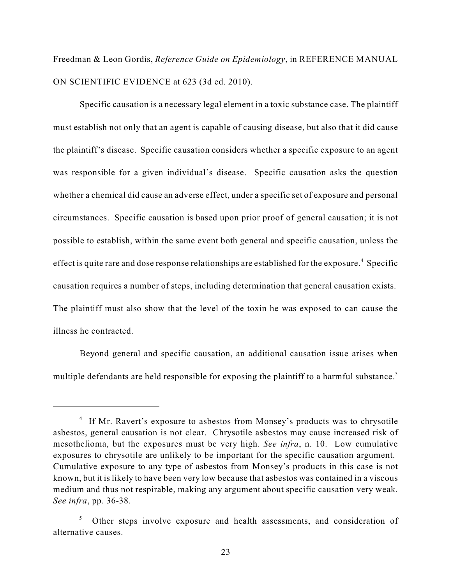Freedman & Leon Gordis, *Reference Guide on Epidemiology*, in REFERENCE MANUAL ON SCIENTIFIC EVIDENCE at 623 (3d ed. 2010).

Specific causation is a necessary legal element in a toxic substance case. The plaintiff must establish not only that an agent is capable of causing disease, but also that it did cause the plaintiff's disease. Specific causation considers whether a specific exposure to an agent was responsible for a given individual's disease. Specific causation asks the question whether a chemical did cause an adverse effect, under a specific set of exposure and personal circumstances. Specific causation is based upon prior proof of general causation; it is not possible to establish, within the same event both general and specific causation, unless the effect is quite rare and dose response relationships are established for the exposure.<sup>4</sup> Specific causation requires a number of steps, including determination that general causation exists. The plaintiff must also show that the level of the toxin he was exposed to can cause the illness he contracted.

Beyond general and specific causation, an additional causation issue arises when multiple defendants are held responsible for exposing the plaintiff to a harmful substance.<sup>5</sup>

<sup>&</sup>lt;sup>4</sup> If Mr. Ravert's exposure to asbestos from Monsey's products was to chrysotile asbestos, general causation is not clear. Chrysotile asbestos may cause increased risk of mesothelioma, but the exposures must be very high. *See infra*, n. 10. Low cumulative exposures to chrysotile are unlikely to be important for the specific causation argument. Cumulative exposure to any type of asbestos from Monsey's products in this case is not known, but it is likely to have been very low because that asbestos was contained in a viscous medium and thus not respirable, making any argument about specific causation very weak. *See infra*, pp. 36-38.

 $5$  Other steps involve exposure and health assessments, and consideration of alternative causes.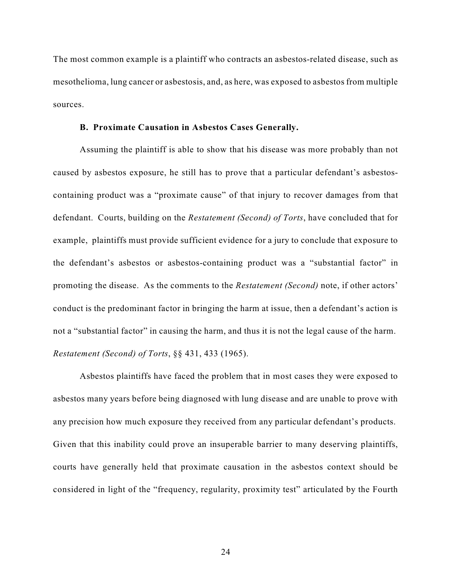The most common example is a plaintiff who contracts an asbestos-related disease, such as mesothelioma, lung cancer or asbestosis, and, as here, was exposed to asbestos from multiple sources.

## **B. Proximate Causation in Asbestos Cases Generally.**

Assuming the plaintiff is able to show that his disease was more probably than not caused by asbestos exposure, he still has to prove that a particular defendant's asbestoscontaining product was a "proximate cause" of that injury to recover damages from that defendant. Courts, building on the *Restatement (Second) of Torts*, have concluded that for example, plaintiffs must provide sufficient evidence for a jury to conclude that exposure to the defendant's asbestos or asbestos-containing product was a "substantial factor" in promoting the disease. As the comments to the *Restatement (Second)* note, if other actors' conduct is the predominant factor in bringing the harm at issue, then a defendant's action is not a "substantial factor" in causing the harm, and thus it is not the legal cause of the harm. *Restatement (Second) of Torts*, §§ 431, 433 (1965).

Asbestos plaintiffs have faced the problem that in most cases they were exposed to asbestos many years before being diagnosed with lung disease and are unable to prove with any precision how much exposure they received from any particular defendant's products. Given that this inability could prove an insuperable barrier to many deserving plaintiffs, courts have generally held that proximate causation in the asbestos context should be considered in light of the "frequency, regularity, proximity test" articulated by the Fourth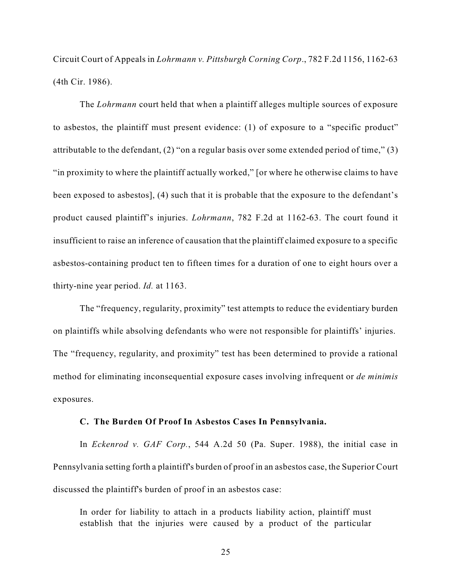Circuit Court of Appeals in *Lohrmann v. Pittsburgh Corning Corp*., 782 F.2d 1156, 1162-63 (4th Cir. 1986).

The *Lohrmann* court held that when a plaintiff alleges multiple sources of exposure to asbestos, the plaintiff must present evidence: (1) of exposure to a "specific product" attributable to the defendant, (2) "on a regular basis over some extended period of time," (3) "in proximity to where the plaintiff actually worked," [or where he otherwise claims to have been exposed to asbestos], (4) such that it is probable that the exposure to the defendant's product caused plaintiff's injuries. *Lohrmann*, 782 F.2d at 1162-63. The court found it insufficient to raise an inference of causation that the plaintiff claimed exposure to a specific asbestos-containing product ten to fifteen times for a duration of one to eight hours over a thirty-nine year period. *Id.* at 1163.

The "frequency, regularity, proximity" test attempts to reduce the evidentiary burden on plaintiffs while absolving defendants who were not responsible for plaintiffs' injuries. The "frequency, regularity, and proximity" test has been determined to provide a rational method for eliminating inconsequential exposure cases involving infrequent or *de minimis* exposures.

## **C. The Burden Of Proof In Asbestos Cases In Pennsylvania.**

In *Eckenrod v. GAF Corp.*, 544 A.2d 50 (Pa. Super. 1988), the initial case in Pennsylvania setting forth a plaintiff's burden of proof in an asbestos case, the Superior Court discussed the plaintiff's burden of proof in an asbestos case:

In order for liability to attach in a products liability action, plaintiff must establish that the injuries were caused by a product of the particular

25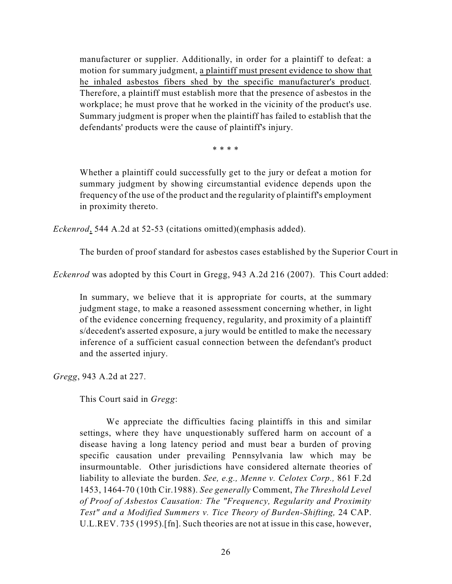manufacturer or supplier. Additionally, in order for a plaintiff to defeat: a motion for summary judgment, a plaintiff must present evidence to show that he inhaled asbestos fibers shed by the specific manufacturer's product. Therefore, a plaintiff must establish more that the presence of asbestos in the workplace; he must prove that he worked in the vicinity of the product's use. Summary judgment is proper when the plaintiff has failed to establish that the defendants' products were the cause of plaintiff's injury.

\* \* \* \*

Whether a plaintiff could successfully get to the jury or defeat a motion for summary judgment by showing circumstantial evidence depends upon the frequency of the use of the product and the regularity of plaintiff's employment in proximity thereto.

*Eckenrod*, 544 A.2d at 52-53 (citations omitted)(emphasis added).

The burden of proof standard for asbestos cases established by the Superior Court in

*Eckenrod* was adopted by this Court in Gregg, 943 A.2d 216 (2007). This Court added:

In summary, we believe that it is appropriate for courts, at the summary judgment stage, to make a reasoned assessment concerning whether, in light of the evidence concerning frequency, regularity, and proximity of a plaintiff s/decedent's asserted exposure, a jury would be entitled to make the necessary inference of a sufficient casual connection between the defendant's product and the asserted injury.

*Gregg*, 943 A.2d at 227.

This Court said in *Gregg*:

We appreciate the difficulties facing plaintiffs in this and similar settings, where they have unquestionably suffered harm on account of a disease having a long latency period and must bear a burden of proving specific causation under prevailing Pennsylvania law which may be insurmountable. Other jurisdictions have considered alternate theories of liability to alleviate the burden. *See, e.g., Menne v. Celotex Corp.,* 861 F.2d 1453, 1464-70 (10th Cir.1988). *See generally* Comment, *The Threshold Level of Proof of Asbestos Causation: The "Frequency, Regularity and Proximity Test" and a Modified Summers v. Tice Theory of Burden-Shifting,* 24 CAP. U.L.REV. 735 (1995).[fn]. Such theories are not at issue in this case, however,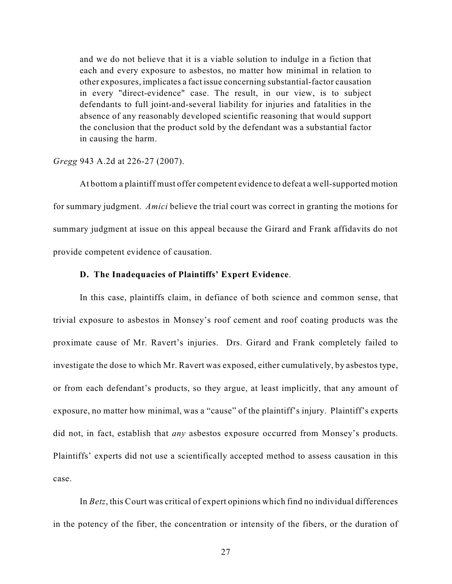and we do not believe that it is a viable solution to indulge in a fiction that each and every exposure to asbestos, no matter how minimal in relation to other exposures, implicates a fact issue concerning substantial-factor causation in every "direct-evidence" case. The result, in our view, is to subject defendants to full joint-and-several liability for injuries and fatalities in the absence of any reasonably developed scientific reasoning that would support the conclusion that the product sold by the defendant was a substantial factor in causing the harm.

#### *Gregg* 943 A.2d at 226-27 (2007).

At bottom a plaintiff must offer competent evidence to defeat a well-supported motion for summary judgment. *Amici* believe the trial court was correct in granting the motions for summary judgment at issue on this appeal because the Girard and Frank affidavits do not provide competent evidence of causation.

## **D. The Inadequacies of Plaintiffs' Expert Evidence**.

In this case, plaintiffs claim, in defiance of both science and common sense, that trivial exposure to asbestos in Monsey's roof cement and roof coating products was the proximate cause of Mr. Ravert's injuries. Drs. Girard and Frank completely failed to investigate the dose to which Mr. Ravert was exposed, either cumulatively, by asbestos type, or from each defendant's products, so they argue, at least implicitly, that any amount of exposure, no matter how minimal, was a "cause" of the plaintiff's injury. Plaintiff's experts did not, in fact, establish that *any* asbestos exposure occurred from Monsey's products. Plaintiffs' experts did not use a scientifically accepted method to assess causation in this case.

In *Betz*, this Court was critical of expert opinions which find no individual differences in the potency of the fiber, the concentration or intensity of the fibers, or the duration of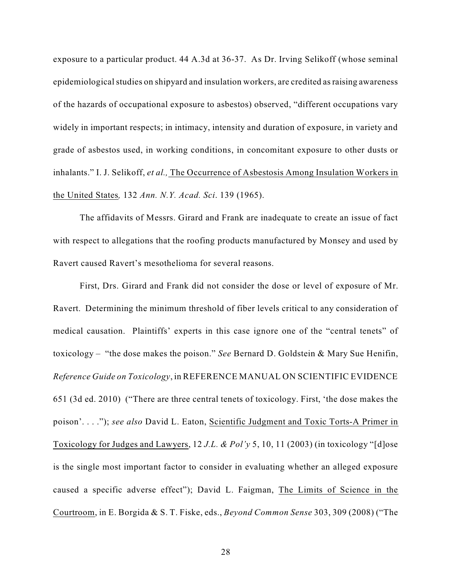exposure to a particular product. 44 A.3d at 36-37. As Dr. Irving Selikoff (whose seminal epidemiological studies on shipyard and insulation workers, are credited as raising awareness of the hazards of occupational exposure to asbestos) observed, "different occupations vary widely in important respects; in intimacy, intensity and duration of exposure, in variety and grade of asbestos used, in working conditions, in concomitant exposure to other dusts or inhalants." I. J. Selikoff, *et al.,* The Occurrence of Asbestosis Among Insulation Workers in the United States*,* 132 *Ann. N.Y. Acad. Sci*. 139 (1965).

The affidavits of Messrs. Girard and Frank are inadequate to create an issue of fact with respect to allegations that the roofing products manufactured by Monsey and used by Ravert caused Ravert's mesothelioma for several reasons.

First, Drs. Girard and Frank did not consider the dose or level of exposure of Mr. Ravert. Determining the minimum threshold of fiber levels critical to any consideration of medical causation. Plaintiffs' experts in this case ignore one of the "central tenets" of toxicology – "the dose makes the poison." *See* Bernard D. Goldstein & Mary Sue Henifin, *Reference Guide on Toxicology*, in REFERENCE MANUAL ON SCIENTIFIC EVIDENCE 651 (3d ed. 2010) ("There are three central tenets of toxicology. First, 'the dose makes the poison'. . . ."); *see also* David L. Eaton, Scientific Judgment and Toxic Torts-A Primer in Toxicology for Judges and Lawyers, 12 *J.L. & Pol'y* 5, 10, 11 (2003) (in toxicology "[d]ose is the single most important factor to consider in evaluating whether an alleged exposure caused a specific adverse effect"); David L. Faigman, The Limits of Science in the Courtroom, in E. Borgida & S. T. Fiske, eds., *Beyond Common Sense* 303, 309 (2008) ("The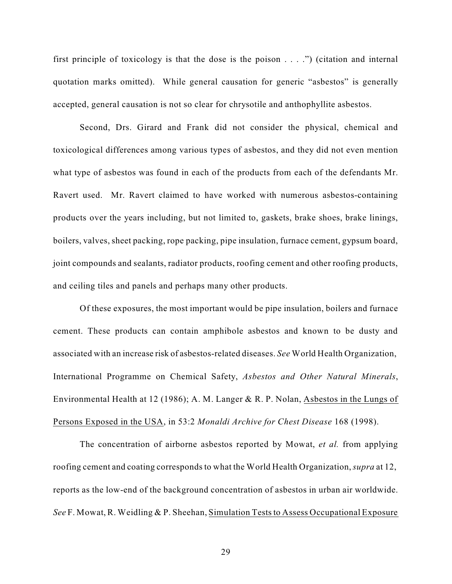first principle of toxicology is that the dose is the poison  $\dots$ .") (citation and internal quotation marks omitted). While general causation for generic "asbestos" is generally accepted, general causation is not so clear for chrysotile and anthophyllite asbestos.

Second, Drs. Girard and Frank did not consider the physical, chemical and toxicological differences among various types of asbestos, and they did not even mention what type of asbestos was found in each of the products from each of the defendants Mr. Ravert used. Mr. Ravert claimed to have worked with numerous asbestos-containing products over the years including, but not limited to, gaskets, brake shoes, brake linings, boilers, valves, sheet packing, rope packing, pipe insulation, furnace cement, gypsum board, joint compounds and sealants, radiator products, roofing cement and other roofing products, and ceiling tiles and panels and perhaps many other products.

Of these exposures, the most important would be pipe insulation, boilers and furnace cement. These products can contain amphibole asbestos and known to be dusty and associated with an increase risk of asbestos-related diseases. *See* World Health Organization, International Programme on Chemical Safety, *Asbestos and Other Natural Minerals*, Environmental Health at 12 (1986); A. M. Langer & R. P. Nolan, Asbestos in the Lungs of Persons Exposed in the USA, in 53:2 *Monaldi Archive for Chest Disease* 168 (1998).

The concentration of airborne asbestos reported by Mowat, *et al.* from applying roofing cement and coating correspondsto what the World Health Organization,*supra* at 12, reports as the low-end of the background concentration of asbestos in urban air worldwide. *See* F. Mowat, R. Weidling & P. Sheehan, Simulation Teststo Assess Occupational Exposure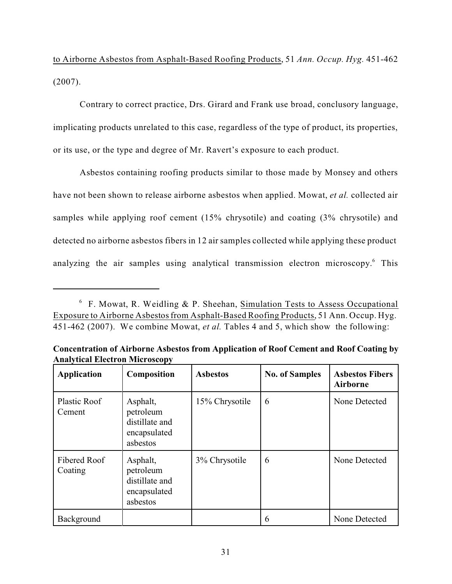to Airborne Asbestos from Asphalt-Based Roofing Products, 51 *Ann. Occup. Hyg.* 451-462 (2007).

Contrary to correct practice, Drs. Girard and Frank use broad, conclusory language, implicating products unrelated to this case, regardless of the type of product, its properties, or its use, or the type and degree of Mr. Ravert's exposure to each product.

Asbestos containing roofing products similar to those made by Monsey and others have not been shown to release airborne asbestos when applied. Mowat, *et al.* collected air samples while applying roof cement (15% chrysotile) and coating (3% chrysotile) and detected no airborne asbestos fibers in 12 air samples collected while applying these product analyzing the air samples using analytical transmission electron microscopy.<sup>6</sup> This

| <b>Application</b>      | Composition                                                         | <b>Asbestos</b> | <b>No. of Samples</b> | <b>Asbestos Fibers</b><br><b>Airborne</b> |
|-------------------------|---------------------------------------------------------------------|-----------------|-----------------------|-------------------------------------------|
| Plastic Roof<br>Cement  | Asphalt,<br>petroleum<br>distillate and<br>encapsulated<br>asbestos | 15% Chrysotile  | 6                     | None Detected                             |
| Fibered Roof<br>Coating | Asphalt,<br>petroleum<br>distillate and<br>encapsulated<br>asbestos | 3% Chrysotile   | 6                     | None Detected                             |
| <b>Background</b>       |                                                                     |                 | 6                     | None Detected                             |

**Concentration of Airborne Asbestos from Application of Roof Cement and Roof Coating by Analytical Electron Microscopy**

 $6$  F. Mowat, R. Weidling & P. Sheehan, Simulation Tests to Assess Occupational Exposure to Airborne Asbestos from Asphalt-Based Roofing Products, 51 Ann. Occup. Hyg. 451-462 (2007). We combine Mowat, *et al.* Tables 4 and 5, which show the following: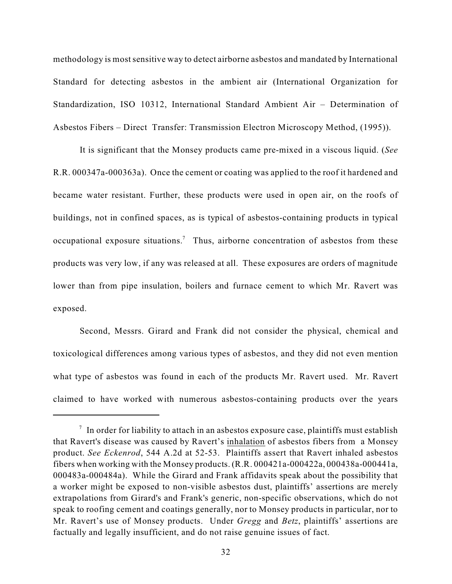methodology is most sensitive way to detect airborne asbestos and mandated by International Standard for detecting asbestos in the ambient air (International Organization for Standardization, ISO 10312, International Standard Ambient Air – Determination of Asbestos Fibers – Direct Transfer: Transmission Electron Microscopy Method, (1995)).

It is significant that the Monsey products came pre-mixed in a viscous liquid. (*See* R.R. 000347a-000363a). Once the cement or coating was applied to the roof it hardened and became water resistant. Further, these products were used in open air, on the roofs of buildings, not in confined spaces, as is typical of asbestos-containing products in typical occupational exposure situations.<sup>7</sup> Thus, airborne concentration of asbestos from these products was very low, if any was released at all. These exposures are orders of magnitude lower than from pipe insulation, boilers and furnace cement to which Mr. Ravert was exposed.

Second, Messrs. Girard and Frank did not consider the physical, chemical and toxicological differences among various types of asbestos, and they did not even mention what type of asbestos was found in each of the products Mr. Ravert used. Mr. Ravert claimed to have worked with numerous asbestos-containing products over the years

 $\frac{1}{1}$  In order for liability to attach in an asbestos exposure case, plaintiffs must establish that Ravert's disease was caused by Ravert's inhalation of asbestos fibers from a Monsey product. *See Eckenrod*, 544 A.2d at 52-53. Plaintiffs assert that Ravert inhaled asbestos fibers when working with the Monsey products. (R.R. 000421a-000422a, 000438a-000441a, 000483a-000484a). While the Girard and Frank affidavits speak about the possibility that a worker might be exposed to non-visible asbestos dust, plaintiffs' assertions are merely extrapolations from Girard's and Frank's generic, non-specific observations, which do not speak to roofing cement and coatings generally, nor to Monsey products in particular, nor to Mr. Ravert's use of Monsey products. Under *Gregg* and *Betz*, plaintiffs' assertions are factually and legally insufficient, and do not raise genuine issues of fact.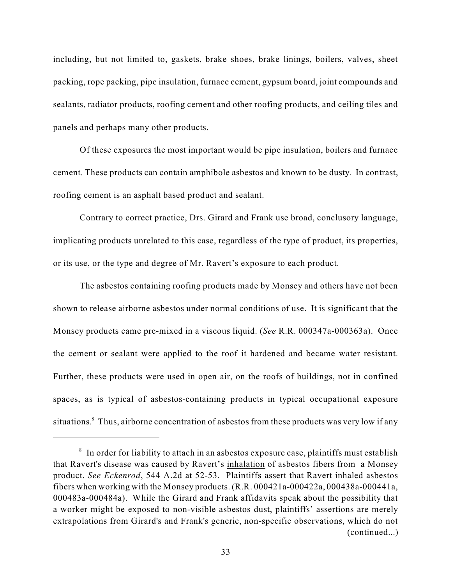including, but not limited to, gaskets, brake shoes, brake linings, boilers, valves, sheet packing, rope packing, pipe insulation, furnace cement, gypsum board, joint compounds and sealants, radiator products, roofing cement and other roofing products, and ceiling tiles and panels and perhaps many other products.

Of these exposures the most important would be pipe insulation, boilers and furnace cement. These products can contain amphibole asbestos and known to be dusty. In contrast, roofing cement is an asphalt based product and sealant.

Contrary to correct practice, Drs. Girard and Frank use broad, conclusory language, implicating products unrelated to this case, regardless of the type of product, its properties, or its use, or the type and degree of Mr. Ravert's exposure to each product.

The asbestos containing roofing products made by Monsey and others have not been shown to release airborne asbestos under normal conditions of use. It is significant that the Monsey products came pre-mixed in a viscous liquid. (*See* R.R. 000347a-000363a). Once the cement or sealant were applied to the roof it hardened and became water resistant. Further, these products were used in open air, on the roofs of buildings, not in confined spaces, as is typical of asbestos-containing products in typical occupational exposure situations.<sup>8</sup> Thus, airborne concentration of asbestos from these products was very low if any

 $\delta$  In order for liability to attach in an asbestos exposure case, plaintiffs must establish that Ravert's disease was caused by Ravert's inhalation of asbestos fibers from a Monsey product. *See Eckenrod*, 544 A.2d at 52-53. Plaintiffs assert that Ravert inhaled asbestos fibers when working with the Monsey products. (R.R. 000421a-000422a, 000438a-000441a, 000483a-000484a). While the Girard and Frank affidavits speak about the possibility that a worker might be exposed to non-visible asbestos dust, plaintiffs' assertions are merely extrapolations from Girard's and Frank's generic, non-specific observations, which do not (continued...)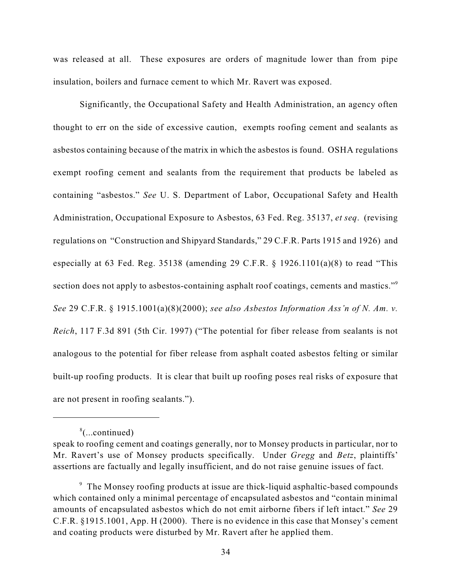was released at all. These exposures are orders of magnitude lower than from pipe insulation, boilers and furnace cement to which Mr. Ravert was exposed.

Significantly, the Occupational Safety and Health Administration, an agency often thought to err on the side of excessive caution, exempts roofing cement and sealants as asbestos containing because of the matrix in which the asbestos is found. OSHA regulations exempt roofing cement and sealants from the requirement that products be labeled as containing "asbestos." *See* U. S. Department of Labor, Occupational Safety and Health Administration, Occupational Exposure to Asbestos, 63 Fed. Reg. 35137, *et seq*. (revising regulations on "Construction and Shipyard Standards," 29 C.F.R. Parts 1915 and 1926) and especially at 63 Fed. Reg. 35138 (amending 29 C.F.R. § 1926.1101(a)(8) to read "This section does not apply to asbestos-containing asphalt roof coatings, cements and mastics."<sup>9</sup> *See* 29 C.F.R. § 1915.1001(a)(8)(2000); *see also Asbestos Information Ass'n of N. Am. v. Reich*, 117 F.3d 891 (5th Cir. 1997) ("The potential for fiber release from sealants is not analogous to the potential for fiber release from asphalt coated asbestos felting or similar built-up roofing products. It is clear that built up roofing poses real risks of exposure that are not present in roofing sealants.").

 $%$ ...continued)

speak to roofing cement and coatings generally, nor to Monsey products in particular, nor to Mr. Ravert's use of Monsey products specifically. Under *Gregg* and *Betz*, plaintiffs' assertions are factually and legally insufficient, and do not raise genuine issues of fact.

<sup>&</sup>lt;sup>9</sup> The Monsey roofing products at issue are thick-liquid asphaltic-based compounds which contained only a minimal percentage of encapsulated asbestos and "contain minimal amounts of encapsulated asbestos which do not emit airborne fibers if left intact." *See* 29 C.F.R. §1915.1001, App. H (2000). There is no evidence in this case that Monsey's cement and coating products were disturbed by Mr. Ravert after he applied them.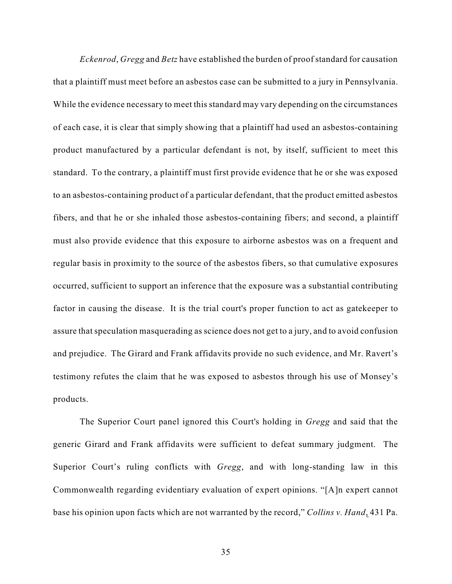*Eckenrod*, *Gregg* and *Betz* have established the burden of proof standard for causation that a plaintiff must meet before an asbestos case can be submitted to a jury in Pennsylvania. While the evidence necessary to meet this standard may vary depending on the circumstances of each case, it is clear that simply showing that a plaintiff had used an asbestos-containing product manufactured by a particular defendant is not, by itself, sufficient to meet this standard. To the contrary, a plaintiff must first provide evidence that he or she was exposed to an asbestos-containing product of a particular defendant, that the product emitted asbestos fibers, and that he or she inhaled those asbestos-containing fibers; and second, a plaintiff must also provide evidence that this exposure to airborne asbestos was on a frequent and regular basis in proximity to the source of the asbestos fibers, so that cumulative exposures occurred, sufficient to support an inference that the exposure was a substantial contributing factor in causing the disease. It is the trial court's proper function to act as gatekeeper to assure that speculation masquerading as science does not get to a jury, and to avoid confusion and prejudice. The Girard and Frank affidavits provide no such evidence, and Mr. Ravert's testimony refutes the claim that he was exposed to asbestos through his use of Monsey's products.

The Superior Court panel ignored this Court's holding in *Gregg* and said that the generic Girard and Frank affidavits were sufficient to defeat summary judgment. The Superior Court's ruling conflicts with *Gregg*, and with long-standing law in this Commonwealth regarding evidentiary evaluation of expert opinions. "[A]n expert cannot base his opinion upon facts which are not warranted by the record," *Collins v. Hand*, 431 Pa.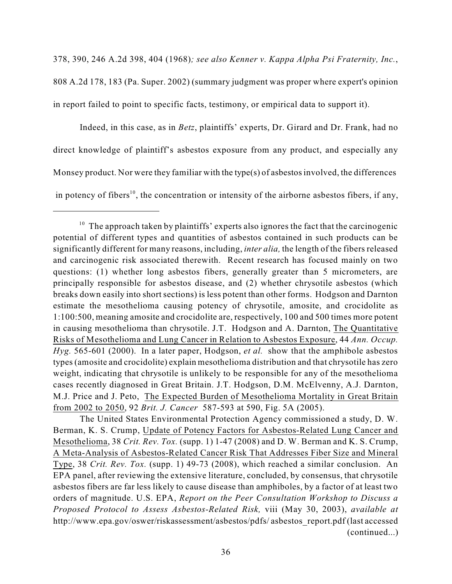378, 390, 246 A.2d 398, 404 (1968)*; see also Kenner v. Kappa Alpha Psi Fraternity, Inc.*,

808 A.2d 178, 183 (Pa. Super. 2002) (summary judgment was proper where expert's opinion in report failed to point to specific facts, testimony, or empirical data to support it).

Indeed, in this case, as in *Betz*, plaintiffs' experts, Dr. Girard and Dr. Frank, had no direct knowledge of plaintiff's asbestos exposure from any product, and especially any Monsey product. Nor were they familiar with the type(s) of asbestos involved, the differences in potency of fibers<sup>10</sup>, the concentration or intensity of the airborne asbestos fibers, if any,

 $10$  The approach taken by plaintiffs' experts also ignores the fact that the carcinogenic potential of different types and quantities of asbestos contained in such products can be significantly different for many reasons, including, *inter alia,* the length of the fibers released and carcinogenic risk associated therewith. Recent research has focused mainly on two questions: (1) whether long asbestos fibers, generally greater than 5 micrometers, are principally responsible for asbestos disease, and (2) whether chrysotile asbestos (which breaks down easily into short sections) is less potent than other forms. Hodgson and Darnton estimate the mesothelioma causing potency of chrysotile, amosite, and crocidolite as 1:100:500, meaning amosite and crocidolite are, respectively, 100 and 500 times more potent in causing mesothelioma than chrysotile. J.T. Hodgson and A. Darnton, The Quantitative Risks of Mesothelioma and Lung Cancer in Relation to Asbestos Exposure, 44 *Ann. Occup. Hyg.* 565-601 (2000). In a later paper, Hodgson, *et al.* show that the amphibole asbestos types(amosite and crocidolite) explain mesothelioma distribution and that chrysotile has zero weight, indicating that chrysotile is unlikely to be responsible for any of the mesothelioma cases recently diagnosed in Great Britain. J.T. Hodgson, D.M. McElvenny, A.J. Darnton, M.J. Price and J. Peto, The Expected Burden of Mesothelioma Mortality in Great Britain from 2002 to 2050, 92 *Brit. J. Cancer* 587-593 at 590, Fig. 5A (2005).

The United States Environmental Protection Agency commissioned a study, D. W. Berman, K. S. Crump, Update of Potency Factors for Asbestos-Related Lung Cancer and Mesothelioma, 38 *Crit. Rev. Tox.* (supp. 1) 1-47 (2008) and D. W. Berman and K. S. Crump, A Meta-Analysis of Asbestos-Related Cancer Risk That Addresses Fiber Size and Mineral Type, 38 *Crit. Rev. Tox.* (supp. 1) 49-73 (2008), which reached a similar conclusion. An EPA panel, after reviewing the extensive literature, concluded, by consensus, that chrysotile asbestos fibers are far less likely to cause disease than amphiboles, by a factor of at least two orders of magnitude. U.S. EPA, *Report on the Peer Consultation Workshop to Discuss a Proposed Protocol to Assess Asbestos-Related Risk,* viii (May 30, 2003), *available at* http://www.epa.gov/oswer/riskassessment/asbestos/pdfs/ asbestos\_report.pdf (last accessed (continued...)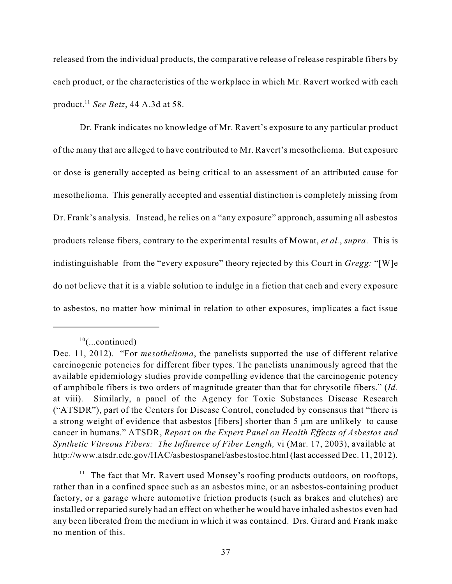released from the individual products, the comparative release of release respirable fibers by each product, or the characteristics of the workplace in which Mr. Ravert worked with each product.<sup>11</sup> See Betz, 44 A.3d at 58.

Dr. Frank indicates no knowledge of Mr. Ravert's exposure to any particular product of the many that are alleged to have contributed to Mr. Ravert's mesothelioma. But exposure or dose is generally accepted as being critical to an assessment of an attributed cause for mesothelioma. This generally accepted and essential distinction is completely missing from Dr. Frank's analysis. Instead, he relies on a "any exposure" approach, assuming all asbestos products release fibers, contrary to the experimental results of Mowat, *et al.*, *supra*. This is indistinguishable from the "every exposure" theory rejected by this Court in *Gregg:* "[W]e do not believe that it is a viable solution to indulge in a fiction that each and every exposure to asbestos, no matter how minimal in relation to other exposures, implicates a fact issue

 $11$  The fact that Mr. Ravert used Monsey's roofing products outdoors, on rooftops, rather than in a confined space such as an asbestos mine, or an asbestos-containing product factory, or a garage where automotive friction products (such as brakes and clutches) are installed or reparied surely had an effect on whether he would have inhaled asbestos even had any been liberated from the medium in which it was contained. Drs. Girard and Frank make no mention of this.

 $10$ (...continued)

Dec. 11, 2012). "For *mesothelioma*, the panelists supported the use of different relative carcinogenic potencies for different fiber types. The panelists unanimously agreed that the available epidemiology studies provide compelling evidence that the carcinogenic potency of amphibole fibers is two orders of magnitude greater than that for chrysotile fibers." (*Id.* at viii). Similarly, a panel of the Agency for Toxic Substances Disease Research ("ATSDR"), part of the Centers for Disease Control, concluded by consensus that "there is a strong weight of evidence that asbestos [fibers] shorter than  $5 \mu m$  are unlikely to cause cancer in humans." ATSDR, *Report on the Expert Panel on Health Effects of Asbestos and Synthetic Vitreous Fibers: The Influence of Fiber Length,* vi (Mar. 17, 2003), available at http://www.atsdr.cdc.gov/HAC/asbestospanel/asbestostoc.html (last accessed Dec. 11, 2012).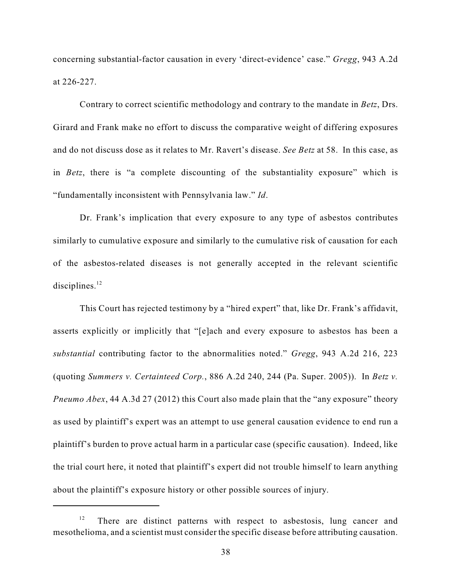concerning substantial-factor causation in every 'direct-evidence' case." *Gregg*, 943 A.2d at 226-227.

Contrary to correct scientific methodology and contrary to the mandate in *Betz*, Drs. Girard and Frank make no effort to discuss the comparative weight of differing exposures and do not discuss dose as it relates to Mr. Ravert's disease. *See Betz* at 58. In this case, as in *Betz*, there is "a complete discounting of the substantiality exposure" which is "fundamentally inconsistent with Pennsylvania law." *Id*.

Dr. Frank's implication that every exposure to any type of asbestos contributes similarly to cumulative exposure and similarly to the cumulative risk of causation for each of the asbestos-related diseases is not generally accepted in the relevant scientific disciplines.<sup>12</sup>

This Court has rejected testimony by a "hired expert" that, like Dr. Frank's affidavit, asserts explicitly or implicitly that "[e]ach and every exposure to asbestos has been a *substantial* contributing factor to the abnormalities noted." *Gregg*, 943 A.2d 216, 223 (quoting *Summers v. Certainteed Corp.*, 886 A.2d 240, 244 (Pa. Super. 2005)). In *Betz v. Pneumo Abex*, 44 A.3d 27 (2012) this Court also made plain that the "any exposure" theory as used by plaintiff's expert was an attempt to use general causation evidence to end run a plaintiff's burden to prove actual harm in a particular case (specific causation). Indeed, like the trial court here, it noted that plaintiff's expert did not trouble himself to learn anything about the plaintiff's exposure history or other possible sources of injury.

 $12$  There are distinct patterns with respect to asbestosis, lung cancer and mesothelioma, and a scientist must consider the specific disease before attributing causation.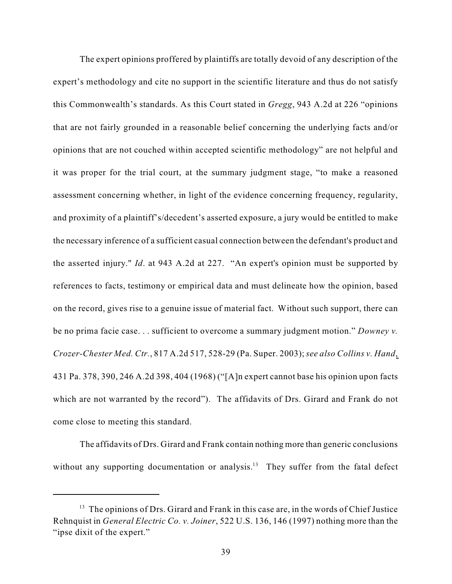The expert opinions proffered by plaintiffs are totally devoid of any description of the expert's methodology and cite no support in the scientific literature and thus do not satisfy this Commonwealth's standards. As this Court stated in *Gregg*, 943 A.2d at 226 "opinions that are not fairly grounded in a reasonable belief concerning the underlying facts and/or opinions that are not couched within accepted scientific methodology" are not helpful and it was proper for the trial court, at the summary judgment stage, "to make a reasoned assessment concerning whether, in light of the evidence concerning frequency, regularity, and proximity of a plaintiff's/decedent's asserted exposure, a jury would be entitled to make the necessary inference of a sufficient casual connection between the defendant's product and the asserted injury." *Id*. at 943 A.2d at 227. "An expert's opinion must be supported by references to facts, testimony or empirical data and must delineate how the opinion, based on the record, gives rise to a genuine issue of material fact. Without such support, there can be no prima facie case. . . sufficient to overcome a summary judgment motion." *Downey v. Crozer-Chester Med. Ctr.*, 817 A.2d 517, 528-29 (Pa. Super. 2003);*see also Collins v. Hand*, 431 Pa. 378, 390, 246 A.2d 398, 404 (1968) ("[A]n expert cannot base his opinion upon facts which are not warranted by the record"). The affidavits of Drs. Girard and Frank do not come close to meeting this standard.

The affidavits of Drs. Girard and Frank contain nothing more than generic conclusions without any supporting documentation or analysis.<sup>13</sup> They suffer from the fatal defect

 $13$  The opinions of Drs. Girard and Frank in this case are, in the words of Chief Justice Rehnquist in *General Electric Co. v. Joiner*, 522 U.S. 136, 146 (1997) nothing more than the "ipse dixit of the expert."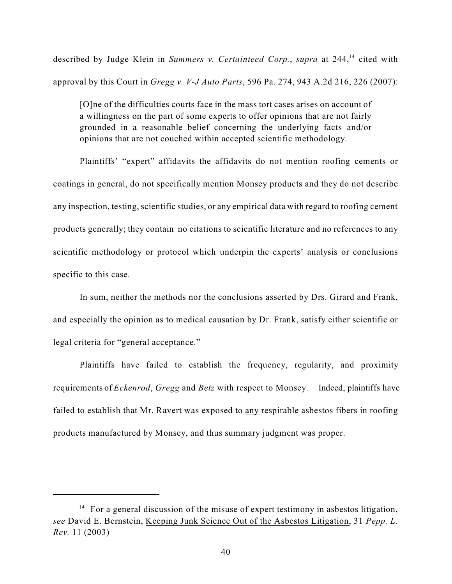described by Judge Klein in *Summers v. Certainteed Corp.*, *supra* at 244,<sup>14</sup> cited with approval by this Court in *Gregg v. V-J Auto Parts*, 596 Pa. 274, 943 A.2d 216, 226 (2007):

[O]ne of the difficulties courts face in the mass tort cases arises on account of a willingness on the part of some experts to offer opinions that are not fairly grounded in a reasonable belief concerning the underlying facts and/or opinions that are not couched within accepted scientific methodology.

Plaintiffs' "expert" affidavits the affidavits do not mention roofing cements or coatings in general, do not specifically mention Monsey products and they do not describe any inspection, testing, scientific studies, or any empirical data with regard to roofing cement products generally; they contain no citations to scientific literature and no references to any scientific methodology or protocol which underpin the experts' analysis or conclusions specific to this case.

In sum, neither the methods nor the conclusions asserted by Drs. Girard and Frank, and especially the opinion as to medical causation by Dr. Frank, satisfy either scientific or legal criteria for "general acceptance."

Plaintiffs have failed to establish the frequency, regularity, and proximity requirements of *Eckenrod*, *Gregg* and *Betz* with respect to Monsey. Indeed, plaintiffs have failed to establish that Mr. Ravert was exposed to any respirable asbestos fibers in roofing products manufactured by Monsey, and thus summary judgment was proper.

 $14$  For a general discussion of the misuse of expert testimony in asbestos litigation, *see* David E. Bernstein, Keeping Junk Science Out of the Asbestos Litigation, 31 *Pepp. L. Rev.* 11 (2003)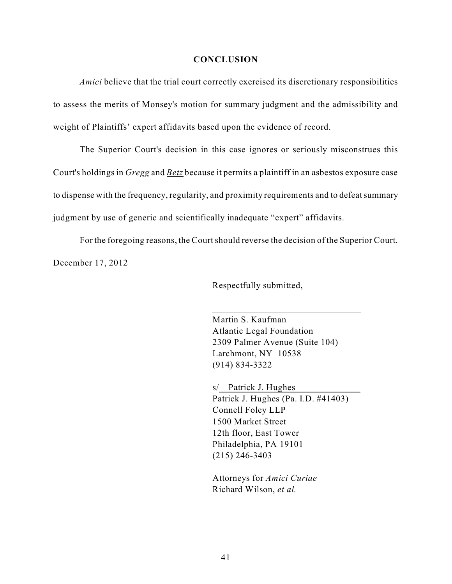#### **CONCLUSION**

*Amici* believe that the trial court correctly exercised its discretionary responsibilities to assess the merits of Monsey's motion for summary judgment and the admissibility and weight of Plaintiffs' expert affidavits based upon the evidence of record.

The Superior Court's decision in this case ignores or seriously misconstrues this Court's holdings in *Gregg* and *Betz* because it permits a plaintiff in an asbestos exposure case to dispense with the frequency, regularity, and proximity requirements and to defeatsummary judgment by use of generic and scientifically inadequate "expert" affidavits.

For the foregoing reasons, the Court should reverse the decision of the Superior Court. December 17, 2012

Respectfully submitted,

Martin S. Kaufman Atlantic Legal Foundation 2309 Palmer Avenue (Suite 104) Larchmont, NY 10538 (914) 834-3322

s/ Patrick J. Hughes Patrick J. Hughes (Pa. I.D. #41403) Connell Foley LLP 1500 Market Street 12th floor, East Tower Philadelphia, PA 19101 (215) 246-3403

Attorneys for *Amici Curiae* Richard Wilson, *et al.*